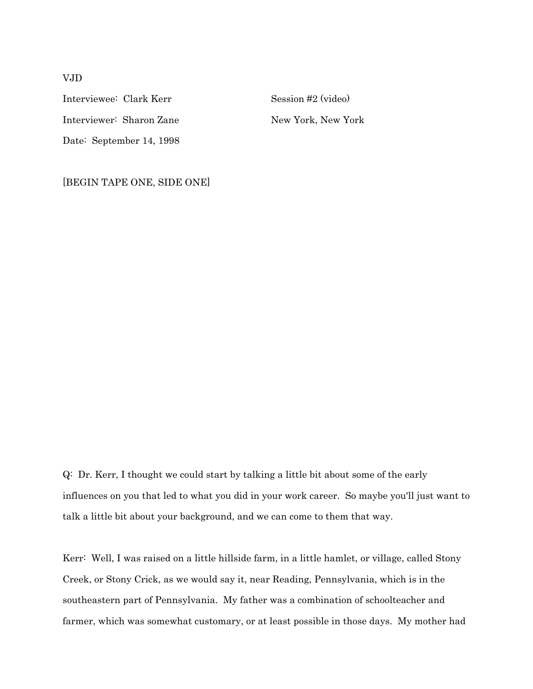Interviewee: Clark Kerr Session #2 (video) Interviewer: Sharon Zane New York, New York Date: September 14, 1998

[BEGIN TAPE ONE, SIDE ONE]

Q: Dr. Kerr, I thought we could start by talking a little bit about some of the early influences on you that led to what you did in your work career. So maybe you'll just want to talk a little bit about your background, and we can come to them that way.

Kerr: Well, I was raised on a little hillside farm, in a little hamlet, or village, called Stony Creek, or Stony Crick, as we would say it, near Reading, Pennsylvania, which is in the southeastern part of Pennsylvania. My father was a combination of schoolteacher and farmer, which was somewhat customary, or at least possible in those days. My mother had

# VJD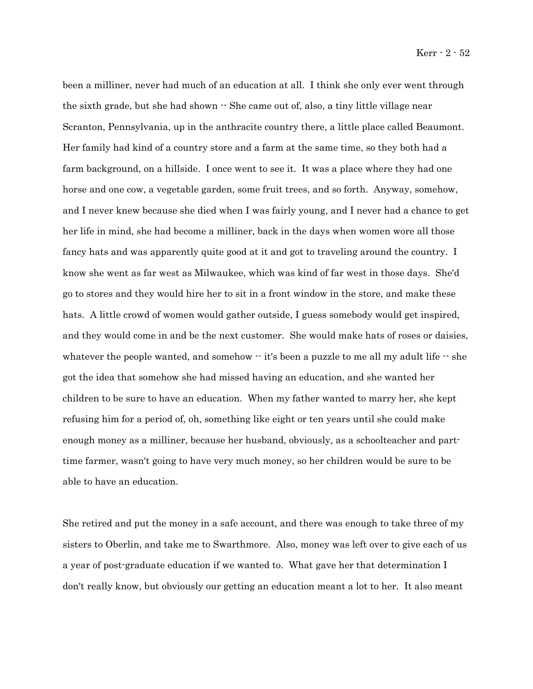been a milliner, never had much of an education at all. I think she only ever went through the sixth grade, but she had shown  $\cdot$  She came out of, also, a tiny little village near Scranton, Pennsylvania, up in the anthracite country there, a little place called Beaumont. Her family had kind of a country store and a farm at the same time, so they both had a farm background, on a hillside. I once went to see it. It was a place where they had one horse and one cow, a vegetable garden, some fruit trees, and so forth. Anyway, somehow, and I never knew because she died when I was fairly young, and I never had a chance to get her life in mind, she had become a milliner, back in the days when women wore all those fancy hats and was apparently quite good at it and got to traveling around the country. I know she went as far west as Milwaukee, which was kind of far west in those days. She'd go to stores and they would hire her to sit in a front window in the store, and make these hats. A little crowd of women would gather outside, I guess somebody would get inspired, and they would come in and be the next customer. She would make hats of roses or daisies, whatever the people wanted, and somehow  $\cdot$  it's been a puzzle to me all my adult life  $\cdot$  she got the idea that somehow she had missed having an education, and she wanted her children to be sure to have an education. When my father wanted to marry her, she kept refusing him for a period of, oh, something like eight or ten years until she could make enough money as a milliner, because her husband, obviously, as a schoolteacher and parttime farmer, wasn't going to have very much money, so her children would be sure to be able to have an education.

She retired and put the money in a safe account, and there was enough to take three of my sisters to Oberlin, and take me to Swarthmore. Also, money was left over to give each of us a year of post-graduate education if we wanted to. What gave her that determination I don't really know, but obviously our getting an education meant a lot to her. It also meant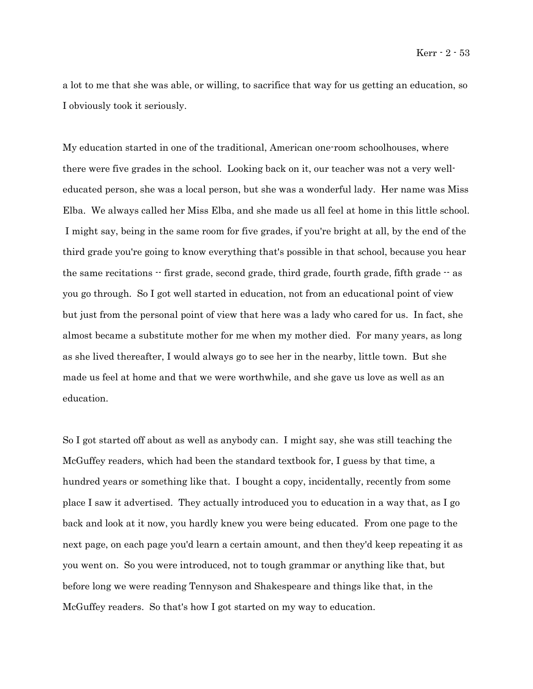a lot to me that she was able, or willing, to sacrifice that way for us getting an education, so I obviously took it seriously.

My education started in one of the traditional, American one-room schoolhouses, where there were five grades in the school. Looking back on it, our teacher was not a very welleducated person, she was a local person, but she was a wonderful lady. Her name was Miss Elba. We always called her Miss Elba, and she made us all feel at home in this little school. I might say, being in the same room for five grades, if you're bright at all, by the end of the third grade you're going to know everything that's possible in that school, because you hear the same recitations  $\cdot$  first grade, second grade, third grade, fourth grade, fifth grade  $\cdot$  as you go through. So I got well started in education, not from an educational point of view but just from the personal point of view that here was a lady who cared for us. In fact, she almost became a substitute mother for me when my mother died. For many years, as long as she lived thereafter, I would always go to see her in the nearby, little town. But she made us feel at home and that we were worthwhile, and she gave us love as well as an education.

So I got started off about as well as anybody can. I might say, she was still teaching the McGuffey readers, which had been the standard textbook for, I guess by that time, a hundred years or something like that. I bought a copy, incidentally, recently from some place I saw it advertised. They actually introduced you to education in a way that, as I go back and look at it now, you hardly knew you were being educated. From one page to the next page, on each page you'd learn a certain amount, and then they'd keep repeating it as you went on. So you were introduced, not to tough grammar or anything like that, but before long we were reading Tennyson and Shakespeare and things like that, in the McGuffey readers. So that's how I got started on my way to education.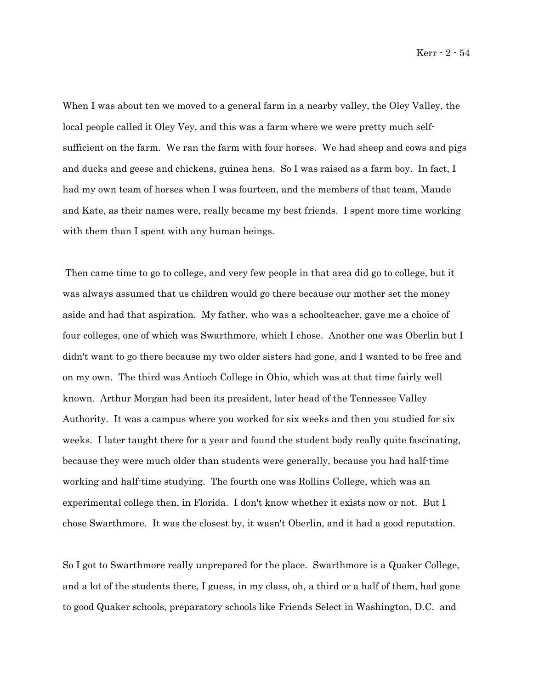When I was about ten we moved to a general farm in a nearby valley, the Oley Valley, the local people called it Oley Vey, and this was a farm where we were pretty much selfsufficient on the farm. We ran the farm with four horses. We had sheep and cows and pigs and ducks and geese and chickens, guinea hens. So I was raised as a farm boy. In fact, I had my own team of horses when I was fourteen, and the members of that team, Maude and Kate, as their names were, really became my best friends. I spent more time working with them than I spent with any human beings.

 Then came time to go to college, and very few people in that area did go to college, but it was always assumed that us children would go there because our mother set the money aside and had that aspiration. My father, who was a schoolteacher, gave me a choice of four colleges, one of which was Swarthmore, which I chose. Another one was Oberlin but I didn't want to go there because my two older sisters had gone, and I wanted to be free and on my own. The third was Antioch College in Ohio, which was at that time fairly well known. Arthur Morgan had been its president, later head of the Tennessee Valley Authority. It was a campus where you worked for six weeks and then you studied for six weeks. I later taught there for a year and found the student body really quite fascinating, because they were much older than students were generally, because you had half-time working and half-time studying. The fourth one was Rollins College, which was an experimental college then, in Florida. I don't know whether it exists now or not. But I chose Swarthmore. It was the closest by, it wasn't Oberlin, and it had a good reputation.

So I got to Swarthmore really unprepared for the place. Swarthmore is a Quaker College, and a lot of the students there, I guess, in my class, oh, a third or a half of them, had gone to good Quaker schools, preparatory schools like Friends Select in Washington, D.C. and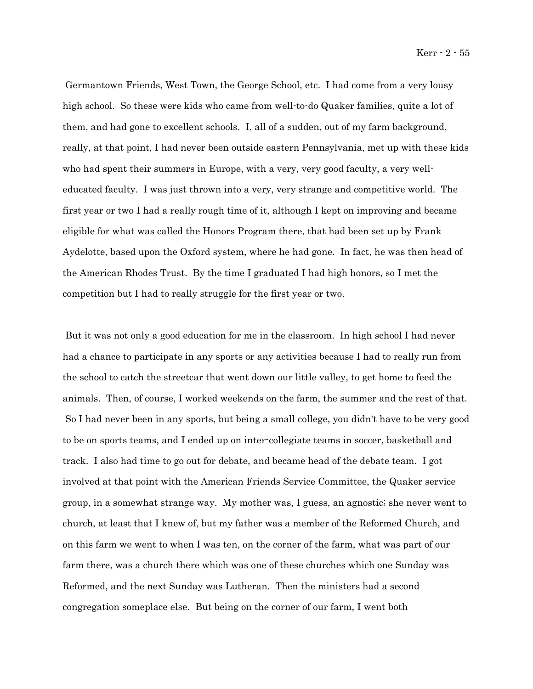Germantown Friends, West Town, the George School, etc. I had come from a very lousy high school. So these were kids who came from well-to-do Quaker families, quite a lot of them, and had gone to excellent schools. I, all of a sudden, out of my farm background, really, at that point, I had never been outside eastern Pennsylvania, met up with these kids who had spent their summers in Europe, with a very, very good faculty, a very welleducated faculty. I was just thrown into a very, very strange and competitive world. The first year or two I had a really rough time of it, although I kept on improving and became eligible for what was called the Honors Program there, that had been set up by Frank Aydelotte, based upon the Oxford system, where he had gone. In fact, he was then head of the American Rhodes Trust. By the time I graduated I had high honors, so I met the competition but I had to really struggle for the first year or two.

 But it was not only a good education for me in the classroom. In high school I had never had a chance to participate in any sports or any activities because I had to really run from the school to catch the streetcar that went down our little valley, to get home to feed the animals. Then, of course, I worked weekends on the farm, the summer and the rest of that. So I had never been in any sports, but being a small college, you didn't have to be very good to be on sports teams, and I ended up on inter-collegiate teams in soccer, basketball and track. I also had time to go out for debate, and became head of the debate team. I got involved at that point with the American Friends Service Committee, the Quaker service group, in a somewhat strange way. My mother was, I guess, an agnostic; she never went to church, at least that I knew of, but my father was a member of the Reformed Church, and on this farm we went to when I was ten, on the corner of the farm, what was part of our farm there, was a church there which was one of these churches which one Sunday was Reformed, and the next Sunday was Lutheran. Then the ministers had a second congregation someplace else. But being on the corner of our farm, I went both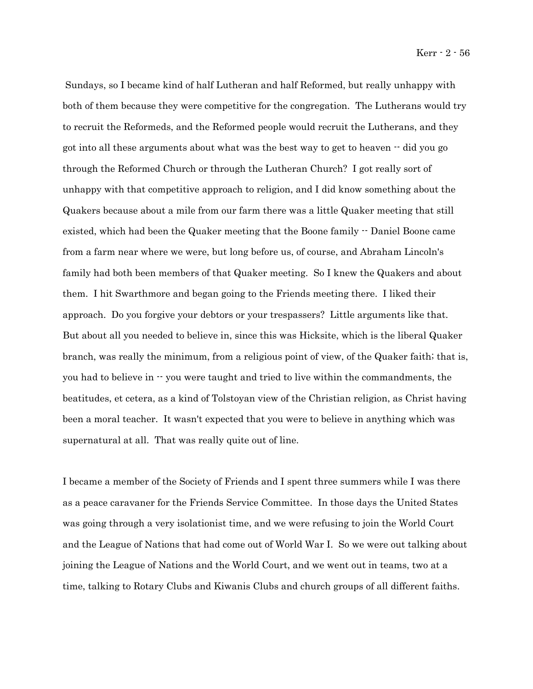Kerr - 2 - 56

 Sundays, so I became kind of half Lutheran and half Reformed, but really unhappy with both of them because they were competitive for the congregation. The Lutherans would try to recruit the Reformeds, and the Reformed people would recruit the Lutherans, and they got into all these arguments about what was the best way to get to heaven -- did you go through the Reformed Church or through the Lutheran Church? I got really sort of unhappy with that competitive approach to religion, and I did know something about the Quakers because about a mile from our farm there was a little Quaker meeting that still existed, which had been the Quaker meeting that the Boone family  $\cdot$  Daniel Boone came from a farm near where we were, but long before us, of course, and Abraham Lincoln's family had both been members of that Quaker meeting. So I knew the Quakers and about them. I hit Swarthmore and began going to the Friends meeting there. I liked their approach. Do you forgive your debtors or your trespassers? Little arguments like that. But about all you needed to believe in, since this was Hicksite, which is the liberal Quaker branch, was really the minimum, from a religious point of view, of the Quaker faith; that is, you had to believe in  $\cdot$  you were taught and tried to live within the commandments, the beatitudes, et cetera, as a kind of Tolstoyan view of the Christian religion, as Christ having been a moral teacher. It wasn't expected that you were to believe in anything which was supernatural at all. That was really quite out of line.

I became a member of the Society of Friends and I spent three summers while I was there as a peace caravaner for the Friends Service Committee. In those days the United States was going through a very isolationist time, and we were refusing to join the World Court and the League of Nations that had come out of World War I. So we were out talking about joining the League of Nations and the World Court, and we went out in teams, two at a time, talking to Rotary Clubs and Kiwanis Clubs and church groups of all different faiths.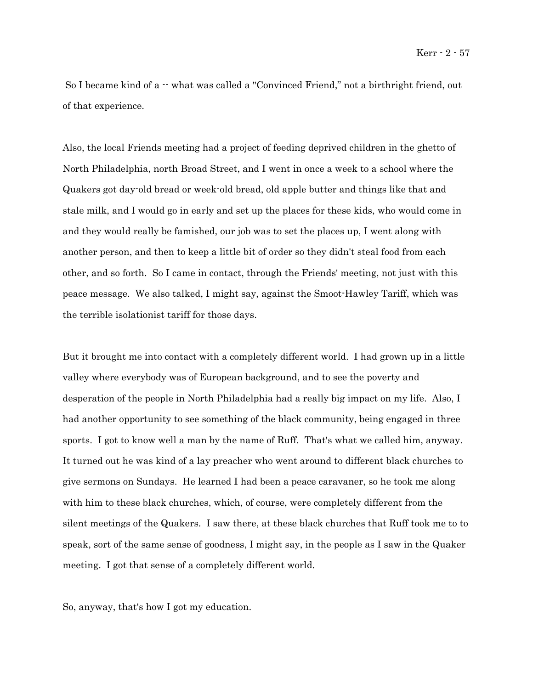So I became kind of a  $-$  what was called a "Convinced Friend," not a birthright friend, out of that experience.

Also, the local Friends meeting had a project of feeding deprived children in the ghetto of North Philadelphia, north Broad Street, and I went in once a week to a school where the Quakers got day-old bread or week-old bread, old apple butter and things like that and stale milk, and I would go in early and set up the places for these kids, who would come in and they would really be famished, our job was to set the places up, I went along with another person, and then to keep a little bit of order so they didn't steal food from each other, and so forth. So I came in contact, through the Friends' meeting, not just with this peace message. We also talked, I might say, against the Smoot-Hawley Tariff, which was the terrible isolationist tariff for those days.

But it brought me into contact with a completely different world. I had grown up in a little valley where everybody was of European background, and to see the poverty and desperation of the people in North Philadelphia had a really big impact on my life. Also, I had another opportunity to see something of the black community, being engaged in three sports. I got to know well a man by the name of Ruff. That's what we called him, anyway. It turned out he was kind of a lay preacher who went around to different black churches to give sermons on Sundays. He learned I had been a peace caravaner, so he took me along with him to these black churches, which, of course, were completely different from the silent meetings of the Quakers. I saw there, at these black churches that Ruff took me to to speak, sort of the same sense of goodness, I might say, in the people as I saw in the Quaker meeting. I got that sense of a completely different world.

So, anyway, that's how I got my education.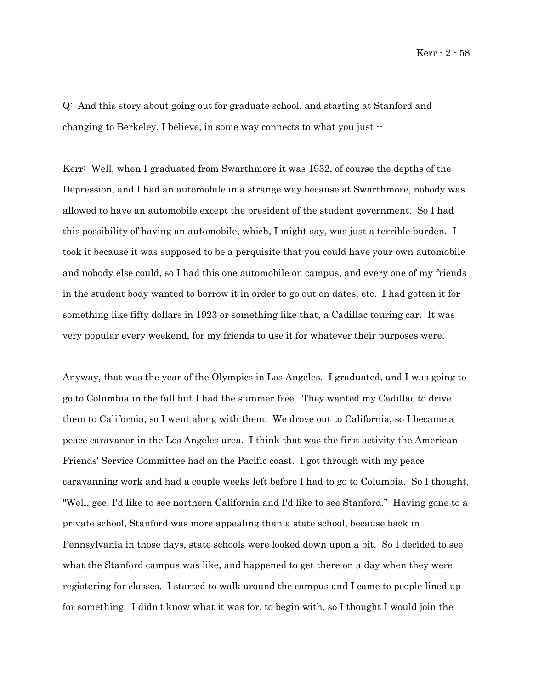Kerr - 2 - 58

Q: And this story about going out for graduate school, and starting at Stanford and changing to Berkeley, I believe, in some way connects to what you just --

Kerr: Well, when I graduated from Swarthmore it was 1932, of course the depths of the Depression, and I had an automobile in a strange way because at Swarthmore, nobody was allowed to have an automobile except the president of the student government. So I had this possibility of having an automobile, which, I might say, was just a terrible burden. I took it because it was supposed to be a perquisite that you could have your own automobile and nobody else could, so I had this one automobile on campus, and every one of my friends in the student body wanted to borrow it in order to go out on dates, etc. I had gotten it for something like fifty dollars in 1923 or something like that, a Cadillac touring car. It was very popular every weekend, for my friends to use it for whatever their purposes were.

Anyway, that was the year of the Olympics in Los Angeles. I graduated, and I was going to go to Columbia in the fall but I had the summer free. They wanted my Cadillac to drive them to California, so I went along with them. We drove out to California, so I became a peace caravaner in the Los Angeles area. I think that was the first activity the American Friends' Service Committee had on the Pacific coast. I got through with my peace caravanning work and had a couple weeks left before I had to go to Columbia. So I thought, "Well, gee, I'd like to see northern California and I'd like to see Stanford." Having gone to a private school, Stanford was more appealing than a state school, because back in Pennsylvania in those days, state schools were looked down upon a bit. So I decided to see what the Stanford campus was like, and happened to get there on a day when they were registering for classes. I started to walk around the campus and I came to people lined up for something. I didn't know what it was for, to begin with, so I thought I would join the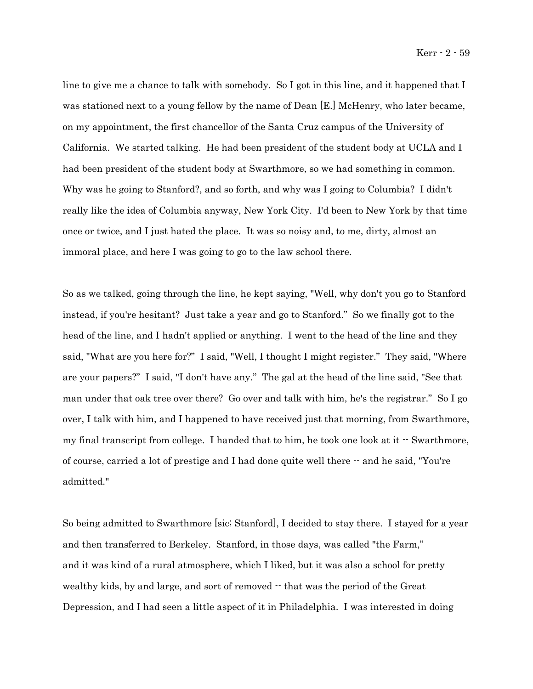line to give me a chance to talk with somebody. So I got in this line, and it happened that I was stationed next to a young fellow by the name of Dean [E.] McHenry, who later became, on my appointment, the first chancellor of the Santa Cruz campus of the University of California. We started talking. He had been president of the student body at UCLA and I had been president of the student body at Swarthmore, so we had something in common. Why was he going to Stanford?, and so forth, and why was I going to Columbia? I didn't really like the idea of Columbia anyway, New York City. I'd been to New York by that time once or twice, and I just hated the place. It was so noisy and, to me, dirty, almost an immoral place, and here I was going to go to the law school there.

So as we talked, going through the line, he kept saying, "Well, why don't you go to Stanford instead, if you're hesitant? Just take a year and go to Stanford." So we finally got to the head of the line, and I hadn't applied or anything. I went to the head of the line and they said, "What are you here for?" I said, "Well, I thought I might register." They said, "Where are your papers?" I said, "I don't have any." The gal at the head of the line said, "See that man under that oak tree over there? Go over and talk with him, he's the registrar." So I go over, I talk with him, and I happened to have received just that morning, from Swarthmore, my final transcript from college. I handed that to him, he took one look at it -- Swarthmore, of course, carried a lot of prestige and I had done quite well there -- and he said, "You're admitted."

So being admitted to Swarthmore [sic; Stanford], I decided to stay there. I stayed for a year and then transferred to Berkeley. Stanford, in those days, was called "the Farm," and it was kind of a rural atmosphere, which I liked, but it was also a school for pretty wealthy kids, by and large, and sort of removed  $\cdot$  that was the period of the Great Depression, and I had seen a little aspect of it in Philadelphia. I was interested in doing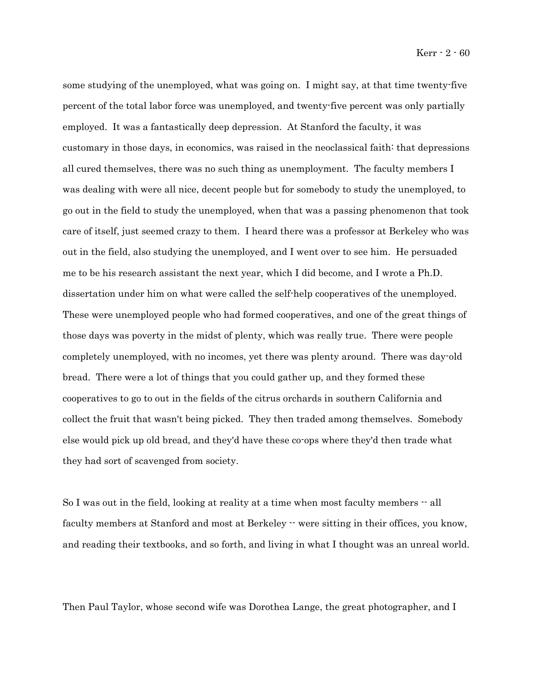some studying of the unemployed, what was going on. I might say, at that time twenty-five percent of the total labor force was unemployed, and twenty-five percent was only partially employed. It was a fantastically deep depression. At Stanford the faculty, it was customary in those days, in economics, was raised in the neoclassical faith: that depressions all cured themselves, there was no such thing as unemployment. The faculty members I was dealing with were all nice, decent people but for somebody to study the unemployed, to go out in the field to study the unemployed, when that was a passing phenomenon that took care of itself, just seemed crazy to them. I heard there was a professor at Berkeley who was out in the field, also studying the unemployed, and I went over to see him. He persuaded me to be his research assistant the next year, which I did become, and I wrote a Ph.D. dissertation under him on what were called the self-help cooperatives of the unemployed. These were unemployed people who had formed cooperatives, and one of the great things of those days was poverty in the midst of plenty, which was really true. There were people completely unemployed, with no incomes, yet there was plenty around. There was day-old bread. There were a lot of things that you could gather up, and they formed these cooperatives to go to out in the fields of the citrus orchards in southern California and collect the fruit that wasn't being picked. They then traded among themselves. Somebody else would pick up old bread, and they'd have these co-ops where they'd then trade what they had sort of scavenged from society.

So I was out in the field, looking at reality at a time when most faculty members  $-$  all faculty members at Stanford and most at Berkeley  $\cdot\cdot$  were sitting in their offices, you know, and reading their textbooks, and so forth, and living in what I thought was an unreal world.

Then Paul Taylor, whose second wife was Dorothea Lange, the great photographer, and I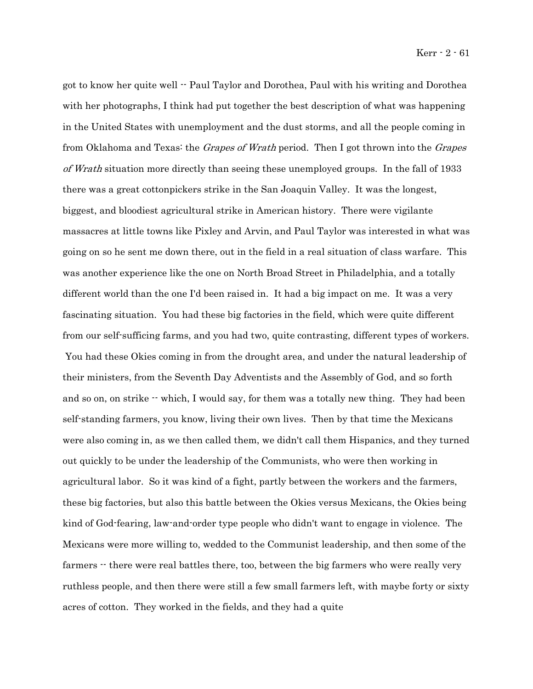got to know her quite well -- Paul Taylor and Dorothea, Paul with his writing and Dorothea with her photographs, I think had put together the best description of what was happening in the United States with unemployment and the dust storms, and all the people coming in from Oklahoma and Texas: the *Grapes of Wrath* period. Then I got thrown into the *Grapes* of Wrath situation more directly than seeing these unemployed groups. In the fall of 1933 there was a great cottonpickers strike in the San Joaquin Valley. It was the longest, biggest, and bloodiest agricultural strike in American history. There were vigilante massacres at little towns like Pixley and Arvin, and Paul Taylor was interested in what was going on so he sent me down there, out in the field in a real situation of class warfare. This was another experience like the one on North Broad Street in Philadelphia, and a totally different world than the one I'd been raised in. It had a big impact on me. It was a very fascinating situation. You had these big factories in the field, which were quite different from our self-sufficing farms, and you had two, quite contrasting, different types of workers. You had these Okies coming in from the drought area, and under the natural leadership of their ministers, from the Seventh Day Adventists and the Assembly of God, and so forth and so on, on strike  $\cdot$  which, I would say, for them was a totally new thing. They had been self-standing farmers, you know, living their own lives. Then by that time the Mexicans were also coming in, as we then called them, we didn't call them Hispanics, and they turned out quickly to be under the leadership of the Communists, who were then working in agricultural labor. So it was kind of a fight, partly between the workers and the farmers, these big factories, but also this battle between the Okies versus Mexicans, the Okies being kind of God-fearing, law-and-order type people who didn't want to engage in violence. The Mexicans were more willing to, wedded to the Communist leadership, and then some of the farmers  $\cdot$  there were real battles there, too, between the big farmers who were really very ruthless people, and then there were still a few small farmers left, with maybe forty or sixty acres of cotton. They worked in the fields, and they had a quite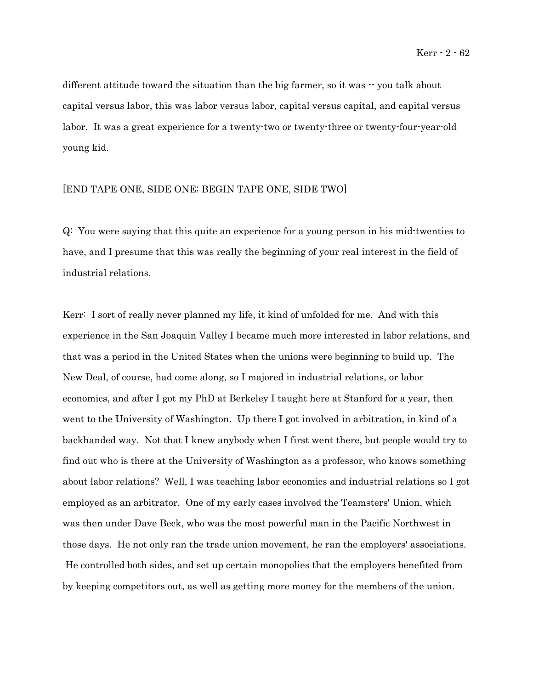different attitude toward the situation than the big farmer, so it was  $\cdot \cdot$  you talk about capital versus labor, this was labor versus labor, capital versus capital, and capital versus labor. It was a great experience for a twenty-two or twenty-three or twenty-four-year-old young kid.

### [END TAPE ONE, SIDE ONE; BEGIN TAPE ONE, SIDE TWO]

Q: You were saying that this quite an experience for a young person in his mid-twenties to have, and I presume that this was really the beginning of your real interest in the field of industrial relations.

Kerr: I sort of really never planned my life, it kind of unfolded for me. And with this experience in the San Joaquin Valley I became much more interested in labor relations, and that was a period in the United States when the unions were beginning to build up. The New Deal, of course, had come along, so I majored in industrial relations, or labor economics, and after I got my PhD at Berkeley I taught here at Stanford for a year, then went to the University of Washington. Up there I got involved in arbitration, in kind of a backhanded way. Not that I knew anybody when I first went there, but people would try to find out who is there at the University of Washington as a professor, who knows something about labor relations? Well, I was teaching labor economics and industrial relations so I got employed as an arbitrator. One of my early cases involved the Teamsters' Union, which was then under Dave Beck, who was the most powerful man in the Pacific Northwest in those days. He not only ran the trade union movement, he ran the employers' associations. He controlled both sides, and set up certain monopolies that the employers benefited from by keeping competitors out, as well as getting more money for the members of the union.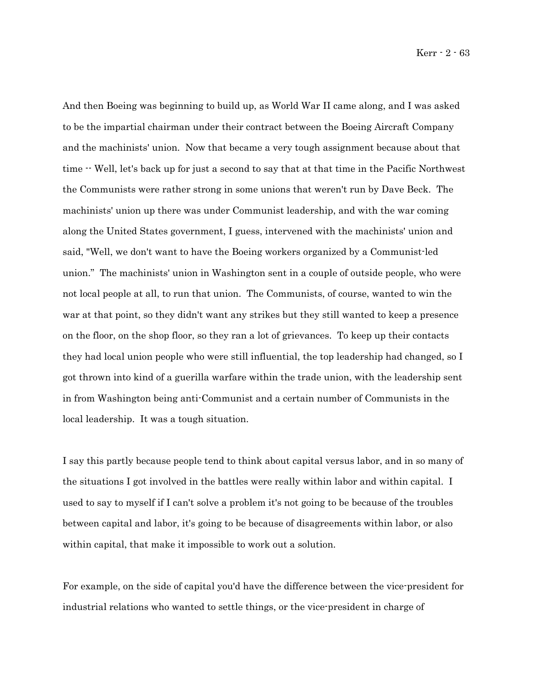And then Boeing was beginning to build up, as World War II came along, and I was asked to be the impartial chairman under their contract between the Boeing Aircraft Company and the machinists' union. Now that became a very tough assignment because about that time -- Well, let's back up for just a second to say that at that time in the Pacific Northwest the Communists were rather strong in some unions that weren't run by Dave Beck. The machinists' union up there was under Communist leadership, and with the war coming along the United States government, I guess, intervened with the machinists' union and said, "Well, we don't want to have the Boeing workers organized by a Communist-led union." The machinists' union in Washington sent in a couple of outside people, who were not local people at all, to run that union. The Communists, of course, wanted to win the war at that point, so they didn't want any strikes but they still wanted to keep a presence on the floor, on the shop floor, so they ran a lot of grievances. To keep up their contacts they had local union people who were still influential, the top leadership had changed, so I got thrown into kind of a guerilla warfare within the trade union, with the leadership sent in from Washington being anti-Communist and a certain number of Communists in the local leadership. It was a tough situation.

I say this partly because people tend to think about capital versus labor, and in so many of the situations I got involved in the battles were really within labor and within capital. I used to say to myself if I can't solve a problem it's not going to be because of the troubles between capital and labor, it's going to be because of disagreements within labor, or also within capital, that make it impossible to work out a solution.

For example, on the side of capital you'd have the difference between the vice-president for industrial relations who wanted to settle things, or the vice-president in charge of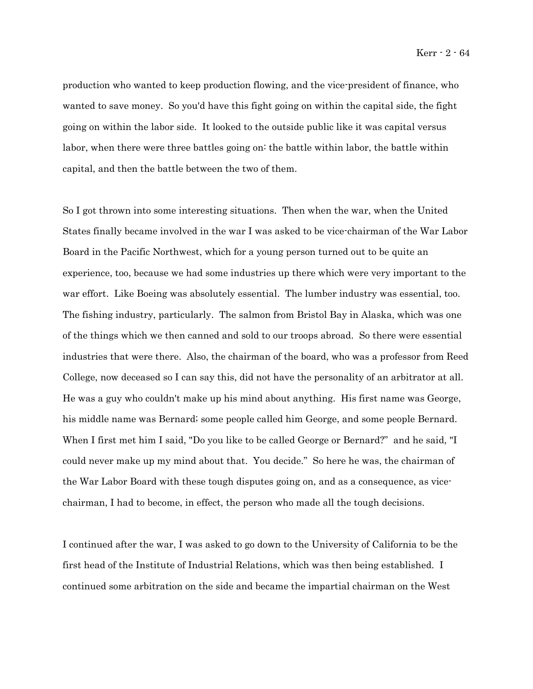production who wanted to keep production flowing, and the vice-president of finance, who wanted to save money. So you'd have this fight going on within the capital side, the fight going on within the labor side. It looked to the outside public like it was capital versus labor, when there were three battles going on: the battle within labor, the battle within capital, and then the battle between the two of them.

So I got thrown into some interesting situations. Then when the war, when the United States finally became involved in the war I was asked to be vice-chairman of the War Labor Board in the Pacific Northwest, which for a young person turned out to be quite an experience, too, because we had some industries up there which were very important to the war effort. Like Boeing was absolutely essential. The lumber industry was essential, too. The fishing industry, particularly. The salmon from Bristol Bay in Alaska, which was one of the things which we then canned and sold to our troops abroad. So there were essential industries that were there. Also, the chairman of the board, who was a professor from Reed College, now deceased so I can say this, did not have the personality of an arbitrator at all. He was a guy who couldn't make up his mind about anything. His first name was George, his middle name was Bernard; some people called him George, and some people Bernard. When I first met him I said, "Do you like to be called George or Bernard?" and he said, "I could never make up my mind about that. You decide." So here he was, the chairman of the War Labor Board with these tough disputes going on, and as a consequence, as vicechairman, I had to become, in effect, the person who made all the tough decisions.

I continued after the war, I was asked to go down to the University of California to be the first head of the Institute of Industrial Relations, which was then being established. I continued some arbitration on the side and became the impartial chairman on the West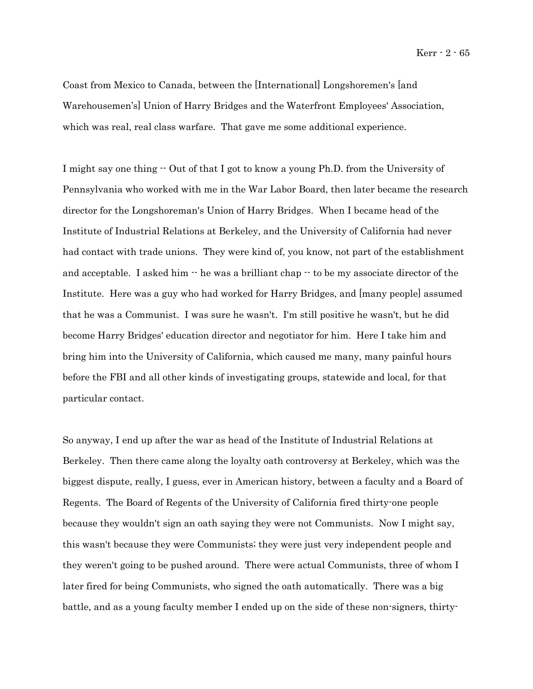Kerr - 2 - 65

Coast from Mexico to Canada, between the [International] Longshoremen's [and Warehousemen's] Union of Harry Bridges and the Waterfront Employees' Association, which was real, real class warfare. That gave me some additional experience.

I might say one thing -- Out of that I got to know a young Ph.D. from the University of Pennsylvania who worked with me in the War Labor Board, then later became the research director for the Longshoreman's Union of Harry Bridges. When I became head of the Institute of Industrial Relations at Berkeley, and the University of California had never had contact with trade unions. They were kind of, you know, not part of the establishment and acceptable. I asked him  $\cdot$  he was a brilliant chap  $\cdot$  to be my associate director of the Institute. Here was a guy who had worked for Harry Bridges, and [many people] assumed that he was a Communist. I was sure he wasn't. I'm still positive he wasn't, but he did become Harry Bridges' education director and negotiator for him. Here I take him and bring him into the University of California, which caused me many, many painful hours before the FBI and all other kinds of investigating groups, statewide and local, for that particular contact.

So anyway, I end up after the war as head of the Institute of Industrial Relations at Berkeley. Then there came along the loyalty oath controversy at Berkeley, which was the biggest dispute, really, I guess, ever in American history, between a faculty and a Board of Regents. The Board of Regents of the University of California fired thirty-one people because they wouldn't sign an oath saying they were not Communists. Now I might say, this wasn't because they were Communists; they were just very independent people and they weren't going to be pushed around. There were actual Communists, three of whom I later fired for being Communists, who signed the oath automatically. There was a big battle, and as a young faculty member I ended up on the side of these non-signers, thirty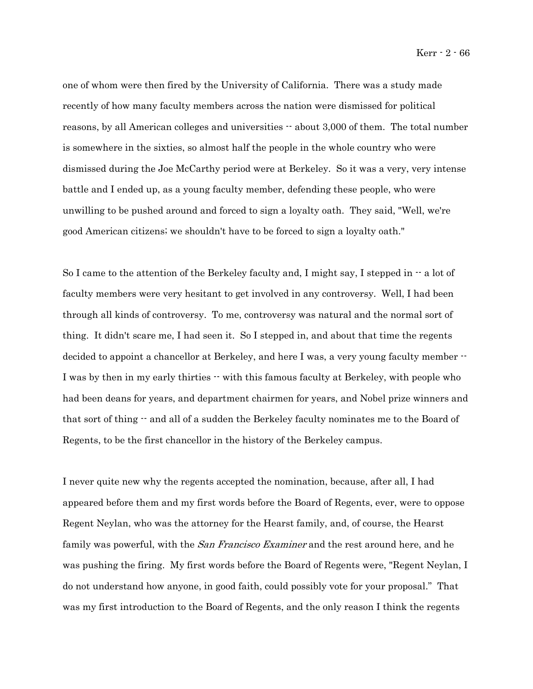one of whom were then fired by the University of California. There was a study made recently of how many faculty members across the nation were dismissed for political reasons, by all American colleges and universities -- about 3,000 of them. The total number is somewhere in the sixties, so almost half the people in the whole country who were dismissed during the Joe McCarthy period were at Berkeley. So it was a very, very intense battle and I ended up, as a young faculty member, defending these people, who were unwilling to be pushed around and forced to sign a loyalty oath. They said, "Well, we're good American citizens; we shouldn't have to be forced to sign a loyalty oath."

So I came to the attention of the Berkeley faculty and, I might say, I stepped in  $-$  a lot of faculty members were very hesitant to get involved in any controversy. Well, I had been through all kinds of controversy. To me, controversy was natural and the normal sort of thing. It didn't scare me, I had seen it. So I stepped in, and about that time the regents decided to appoint a chancellor at Berkeley, and here I was, a very young faculty member -- I was by then in my early thirties  $\cdot \cdot$  with this famous faculty at Berkeley, with people who had been deans for years, and department chairmen for years, and Nobel prize winners and that sort of thing -- and all of a sudden the Berkeley faculty nominates me to the Board of Regents, to be the first chancellor in the history of the Berkeley campus.

I never quite new why the regents accepted the nomination, because, after all, I had appeared before them and my first words before the Board of Regents, ever, were to oppose Regent Neylan, who was the attorney for the Hearst family, and, of course, the Hearst family was powerful, with the *San Francisco Examiner* and the rest around here, and he was pushing the firing. My first words before the Board of Regents were, "Regent Neylan, I do not understand how anyone, in good faith, could possibly vote for your proposal." That was my first introduction to the Board of Regents, and the only reason I think the regents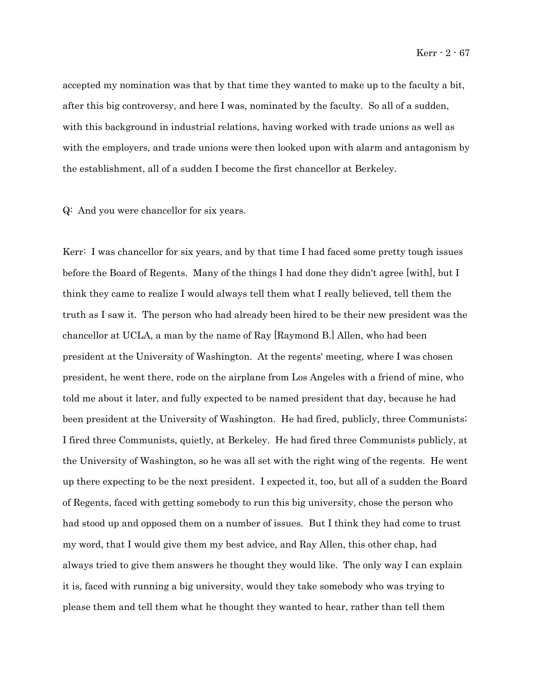accepted my nomination was that by that time they wanted to make up to the faculty a bit, after this big controversy, and here I was, nominated by the faculty. So all of a sudden, with this background in industrial relations, having worked with trade unions as well as with the employers, and trade unions were then looked upon with alarm and antagonism by the establishment, all of a sudden I become the first chancellor at Berkeley.

#### Q: And you were chancellor for six years.

Kerr: I was chancellor for six years, and by that time I had faced some pretty tough issues before the Board of Regents. Many of the things I had done they didn't agree [with], but I think they came to realize I would always tell them what I really believed, tell them the truth as I saw it. The person who had already been hired to be their new president was the chancellor at UCLA, a man by the name of Ray [Raymond B.] Allen, who had been president at the University of Washington. At the regents' meeting, where I was chosen president, he went there, rode on the airplane from Los Angeles with a friend of mine, who told me about it later, and fully expected to be named president that day, because he had been president at the University of Washington. He had fired, publicly, three Communists; I fired three Communists, quietly, at Berkeley. He had fired three Communists publicly, at the University of Washington, so he was all set with the right wing of the regents. He went up there expecting to be the next president. I expected it, too, but all of a sudden the Board of Regents, faced with getting somebody to run this big university, chose the person who had stood up and opposed them on a number of issues. But I think they had come to trust my word, that I would give them my best advice, and Ray Allen, this other chap, had always tried to give them answers he thought they would like. The only way I can explain it is, faced with running a big university, would they take somebody who was trying to please them and tell them what he thought they wanted to hear, rather than tell them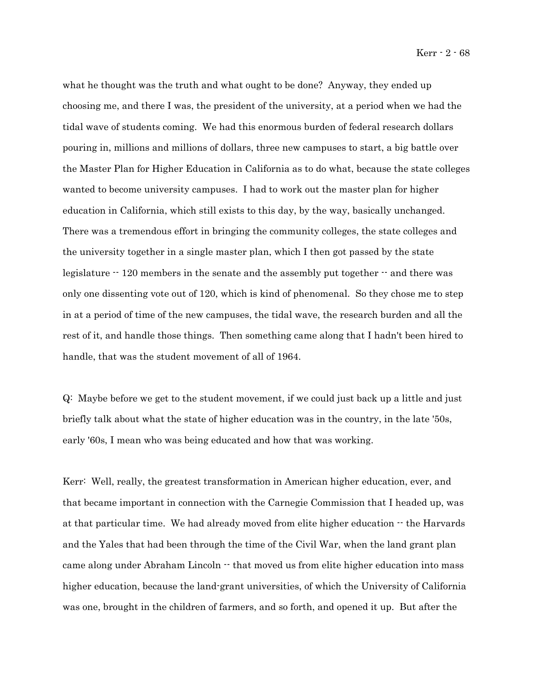Kerr - 2 - 68

what he thought was the truth and what ought to be done? Anyway, they ended up choosing me, and there I was, the president of the university, at a period when we had the tidal wave of students coming. We had this enormous burden of federal research dollars pouring in, millions and millions of dollars, three new campuses to start, a big battle over the Master Plan for Higher Education in California as to do what, because the state colleges wanted to become university campuses. I had to work out the master plan for higher education in California, which still exists to this day, by the way, basically unchanged. There was a tremendous effort in bringing the community colleges, the state colleges and the university together in a single master plan, which I then got passed by the state legislature  $-120$  members in the senate and the assembly put together  $-$  and there was only one dissenting vote out of 120, which is kind of phenomenal. So they chose me to step in at a period of time of the new campuses, the tidal wave, the research burden and all the rest of it, and handle those things. Then something came along that I hadn't been hired to handle, that was the student movement of all of 1964.

Q: Maybe before we get to the student movement, if we could just back up a little and just briefly talk about what the state of higher education was in the country, in the late '50s, early '60s, I mean who was being educated and how that was working.

Kerr: Well, really, the greatest transformation in American higher education, ever, and that became important in connection with the Carnegie Commission that I headed up, was at that particular time. We had already moved from elite higher education  $\cdot$  the Harvards and the Yales that had been through the time of the Civil War, when the land grant plan came along under Abraham Lincoln -- that moved us from elite higher education into mass higher education, because the land-grant universities, of which the University of California was one, brought in the children of farmers, and so forth, and opened it up. But after the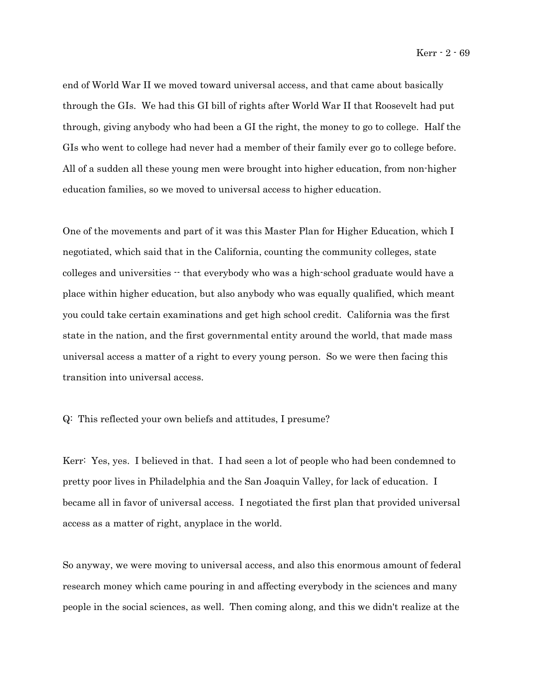end of World War II we moved toward universal access, and that came about basically through the GIs. We had this GI bill of rights after World War II that Roosevelt had put through, giving anybody who had been a GI the right, the money to go to college. Half the GIs who went to college had never had a member of their family ever go to college before. All of a sudden all these young men were brought into higher education, from non-higher education families, so we moved to universal access to higher education.

One of the movements and part of it was this Master Plan for Higher Education, which I negotiated, which said that in the California, counting the community colleges, state colleges and universities -- that everybody who was a high-school graduate would have a place within higher education, but also anybody who was equally qualified, which meant you could take certain examinations and get high school credit. California was the first state in the nation, and the first governmental entity around the world, that made mass universal access a matter of a right to every young person. So we were then facing this transition into universal access.

Q: This reflected your own beliefs and attitudes, I presume?

Kerr: Yes, yes. I believed in that. I had seen a lot of people who had been condemned to pretty poor lives in Philadelphia and the San Joaquin Valley, for lack of education. I became all in favor of universal access. I negotiated the first plan that provided universal access as a matter of right, anyplace in the world.

So anyway, we were moving to universal access, and also this enormous amount of federal research money which came pouring in and affecting everybody in the sciences and many people in the social sciences, as well. Then coming along, and this we didn't realize at the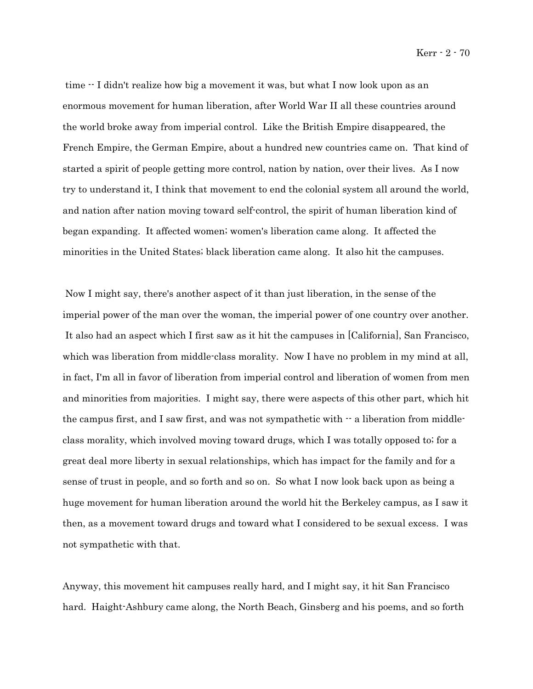Kerr - 2 - 70

time  $-I$  didn't realize how big a movement it was, but what I now look upon as an enormous movement for human liberation, after World War II all these countries around the world broke away from imperial control. Like the British Empire disappeared, the French Empire, the German Empire, about a hundred new countries came on. That kind of started a spirit of people getting more control, nation by nation, over their lives. As I now try to understand it, I think that movement to end the colonial system all around the world, and nation after nation moving toward self-control, the spirit of human liberation kind of began expanding. It affected women; women's liberation came along. It affected the minorities in the United States; black liberation came along. It also hit the campuses.

 Now I might say, there's another aspect of it than just liberation, in the sense of the imperial power of the man over the woman, the imperial power of one country over another. It also had an aspect which I first saw as it hit the campuses in [California], San Francisco, which was liberation from middle-class morality. Now I have no problem in my mind at all, in fact, I'm all in favor of liberation from imperial control and liberation of women from men and minorities from majorities. I might say, there were aspects of this other part, which hit the campus first, and I saw first, and was not sympathetic with  $\cdot$  a liberation from middleclass morality, which involved moving toward drugs, which I was totally opposed to; for a great deal more liberty in sexual relationships, which has impact for the family and for a sense of trust in people, and so forth and so on. So what I now look back upon as being a huge movement for human liberation around the world hit the Berkeley campus, as I saw it then, as a movement toward drugs and toward what I considered to be sexual excess. I was not sympathetic with that.

Anyway, this movement hit campuses really hard, and I might say, it hit San Francisco hard. Haight-Ashbury came along, the North Beach, Ginsberg and his poems, and so forth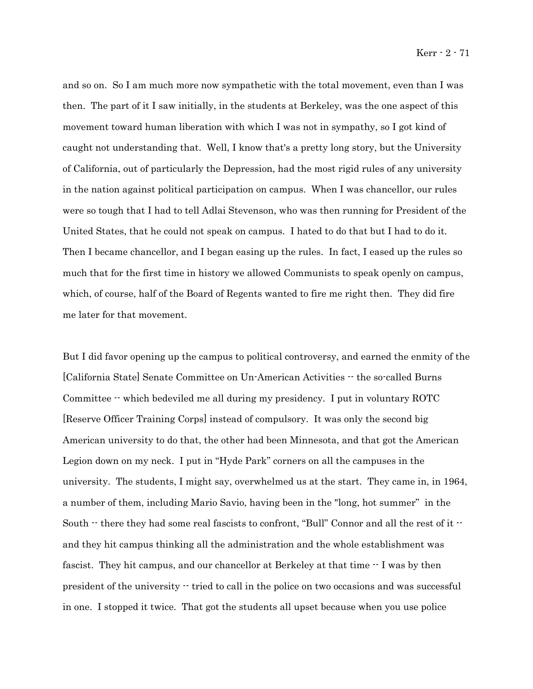and so on. So I am much more now sympathetic with the total movement, even than I was then. The part of it I saw initially, in the students at Berkeley, was the one aspect of this movement toward human liberation with which I was not in sympathy, so I got kind of caught not understanding that. Well, I know that's a pretty long story, but the University of California, out of particularly the Depression, had the most rigid rules of any university in the nation against political participation on campus. When I was chancellor, our rules were so tough that I had to tell Adlai Stevenson, who was then running for President of the United States, that he could not speak on campus. I hated to do that but I had to do it. Then I became chancellor, and I began easing up the rules. In fact, I eased up the rules so much that for the first time in history we allowed Communists to speak openly on campus, which, of course, half of the Board of Regents wanted to fire me right then. They did fire me later for that movement.

But I did favor opening up the campus to political controversy, and earned the enmity of the [California State] Senate Committee on Un-American Activities -- the so-called Burns Committee -- which bedeviled me all during my presidency. I put in voluntary ROTC [Reserve Officer Training Corps] instead of compulsory. It was only the second big American university to do that, the other had been Minnesota, and that got the American Legion down on my neck. I put in "Hyde Park" corners on all the campuses in the university. The students, I might say, overwhelmed us at the start. They came in, in 1964, a number of them, including Mario Savio, having been in the "long, hot summer" in the South  $\cdot$  there they had some real fascists to confront, "Bull" Connor and all the rest of it  $\cdot$ and they hit campus thinking all the administration and the whole establishment was fascist. They hit campus, and our chancellor at Berkeley at that time  $-$  I was by then president of the university -- tried to call in the police on two occasions and was successful in one. I stopped it twice. That got the students all upset because when you use police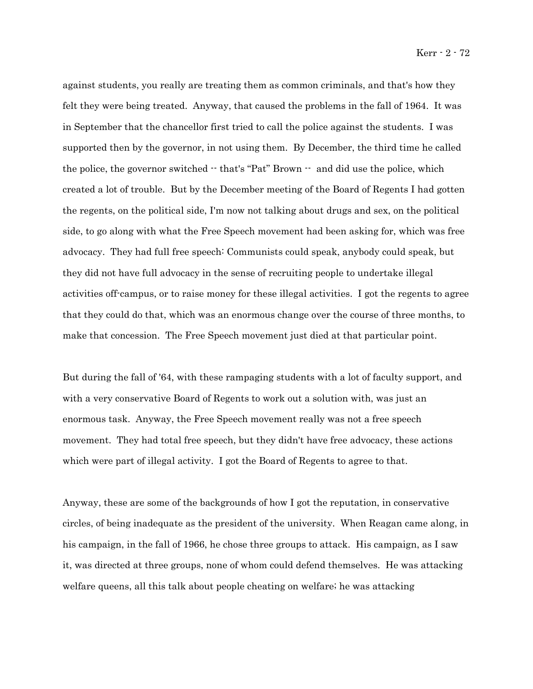against students, you really are treating them as common criminals, and that's how they felt they were being treated. Anyway, that caused the problems in the fall of 1964. It was in September that the chancellor first tried to call the police against the students. I was supported then by the governor, in not using them. By December, the third time he called the police, the governor switched -- that's "Pat" Brown -- and did use the police, which created a lot of trouble. But by the December meeting of the Board of Regents I had gotten the regents, on the political side, I'm now not talking about drugs and sex, on the political side, to go along with what the Free Speech movement had been asking for, which was free advocacy. They had full free speech: Communists could speak, anybody could speak, but they did not have full advocacy in the sense of recruiting people to undertake illegal activities off-campus, or to raise money for these illegal activities. I got the regents to agree that they could do that, which was an enormous change over the course of three months, to make that concession. The Free Speech movement just died at that particular point.

But during the fall of '64, with these rampaging students with a lot of faculty support, and with a very conservative Board of Regents to work out a solution with, was just an enormous task. Anyway, the Free Speech movement really was not a free speech movement. They had total free speech, but they didn't have free advocacy, these actions which were part of illegal activity. I got the Board of Regents to agree to that.

Anyway, these are some of the backgrounds of how I got the reputation, in conservative circles, of being inadequate as the president of the university. When Reagan came along, in his campaign, in the fall of 1966, he chose three groups to attack. His campaign, as I saw it, was directed at three groups, none of whom could defend themselves. He was attacking welfare queens, all this talk about people cheating on welfare; he was attacking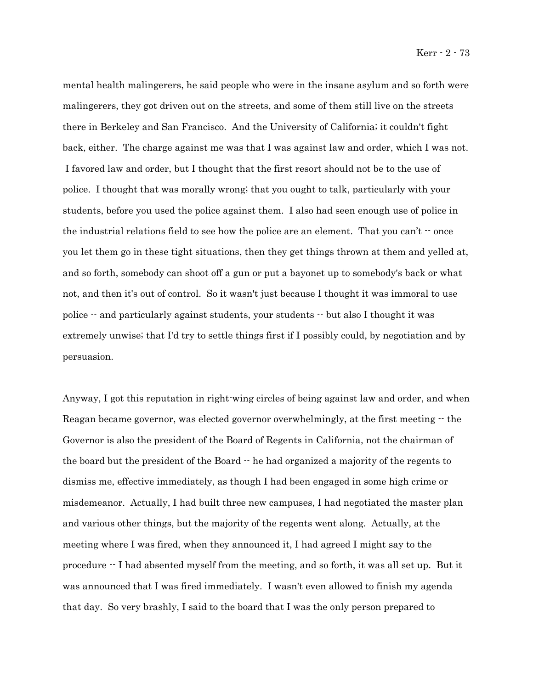mental health malingerers, he said people who were in the insane asylum and so forth were malingerers, they got driven out on the streets, and some of them still live on the streets there in Berkeley and San Francisco. And the University of California; it couldn't fight back, either. The charge against me was that I was against law and order, which I was not. I favored law and order, but I thought that the first resort should not be to the use of police. I thought that was morally wrong; that you ought to talk, particularly with your students, before you used the police against them. I also had seen enough use of police in the industrial relations field to see how the police are an element. That you can't  $\cdot$  once you let them go in these tight situations, then they get things thrown at them and yelled at, and so forth, somebody can shoot off a gun or put a bayonet up to somebody's back or what not, and then it's out of control. So it wasn't just because I thought it was immoral to use police -- and particularly against students, your students -- but also I thought it was extremely unwise; that I'd try to settle things first if I possibly could, by negotiation and by persuasion.

Anyway, I got this reputation in right-wing circles of being against law and order, and when Reagan became governor, was elected governor overwhelmingly, at the first meeting  $\cdot$  the Governor is also the president of the Board of Regents in California, not the chairman of the board but the president of the Board -- he had organized a majority of the regents to dismiss me, effective immediately, as though I had been engaged in some high crime or misdemeanor. Actually, I had built three new campuses, I had negotiated the master plan and various other things, but the majority of the regents went along. Actually, at the meeting where I was fired, when they announced it, I had agreed I might say to the procedure -- I had absented myself from the meeting, and so forth, it was all set up. But it was announced that I was fired immediately. I wasn't even allowed to finish my agenda that day. So very brashly, I said to the board that I was the only person prepared to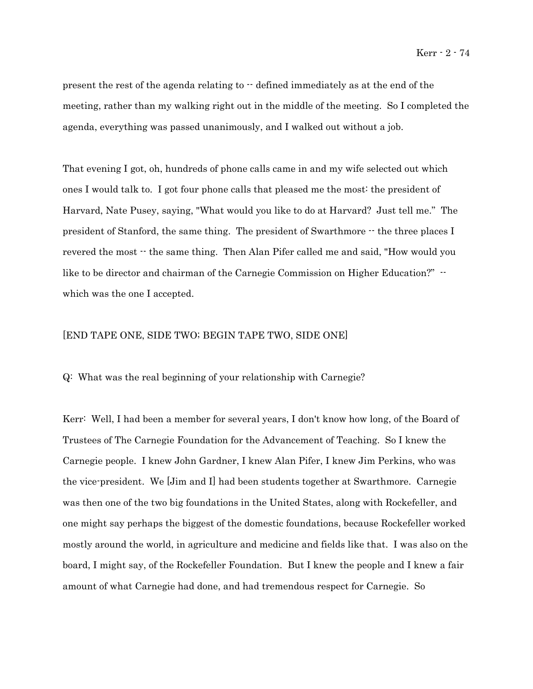present the rest of the agenda relating to  $\cdot$  defined immediately as at the end of the meeting, rather than my walking right out in the middle of the meeting. So I completed the agenda, everything was passed unanimously, and I walked out without a job.

That evening I got, oh, hundreds of phone calls came in and my wife selected out which ones I would talk to. I got four phone calls that pleased me the most: the president of Harvard, Nate Pusey, saying, "What would you like to do at Harvard? Just tell me." The president of Stanford, the same thing. The president of Swarthmore -- the three places I revered the most  $\cdot$  the same thing. Then Alan Pifer called me and said, "How would you like to be director and chairman of the Carnegie Commission on Higher Education?"  $\cdot$ which was the one I accepted.

### [END TAPE ONE, SIDE TWO; BEGIN TAPE TWO, SIDE ONE]

Q: What was the real beginning of your relationship with Carnegie?

Kerr: Well, I had been a member for several years, I don't know how long, of the Board of Trustees of The Carnegie Foundation for the Advancement of Teaching. So I knew the Carnegie people. I knew John Gardner, I knew Alan Pifer, I knew Jim Perkins, who was the vice-president. We [Jim and I] had been students together at Swarthmore. Carnegie was then one of the two big foundations in the United States, along with Rockefeller, and one might say perhaps the biggest of the domestic foundations, because Rockefeller worked mostly around the world, in agriculture and medicine and fields like that. I was also on the board, I might say, of the Rockefeller Foundation. But I knew the people and I knew a fair amount of what Carnegie had done, and had tremendous respect for Carnegie. So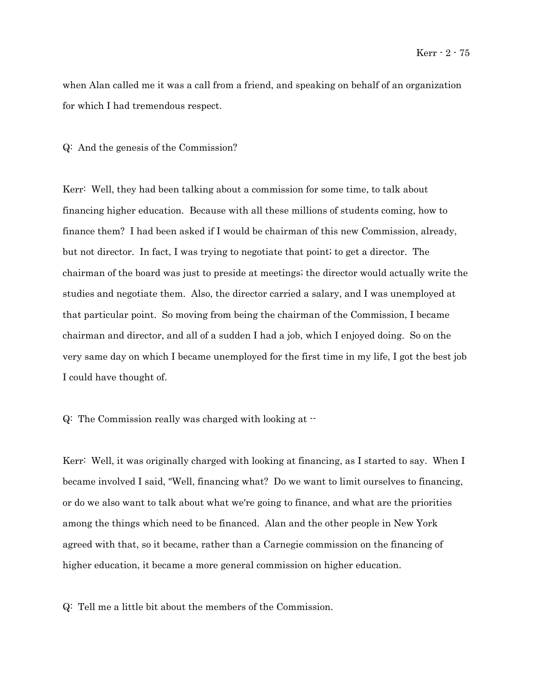when Alan called me it was a call from a friend, and speaking on behalf of an organization for which I had tremendous respect.

#### Q: And the genesis of the Commission?

Kerr: Well, they had been talking about a commission for some time, to talk about financing higher education. Because with all these millions of students coming, how to finance them? I had been asked if I would be chairman of this new Commission, already, but not director. In fact, I was trying to negotiate that point; to get a director. The chairman of the board was just to preside at meetings; the director would actually write the studies and negotiate them. Also, the director carried a salary, and I was unemployed at that particular point. So moving from being the chairman of the Commission, I became chairman and director, and all of a sudden I had a job, which I enjoyed doing. So on the very same day on which I became unemployed for the first time in my life, I got the best job I could have thought of.

Q: The Commission really was charged with looking at --

Kerr: Well, it was originally charged with looking at financing, as I started to say. When I became involved I said, "Well, financing what? Do we want to limit ourselves to financing, or do we also want to talk about what we're going to finance, and what are the priorities among the things which need to be financed. Alan and the other people in New York agreed with that, so it became, rather than a Carnegie commission on the financing of higher education, it became a more general commission on higher education.

Q: Tell me a little bit about the members of the Commission.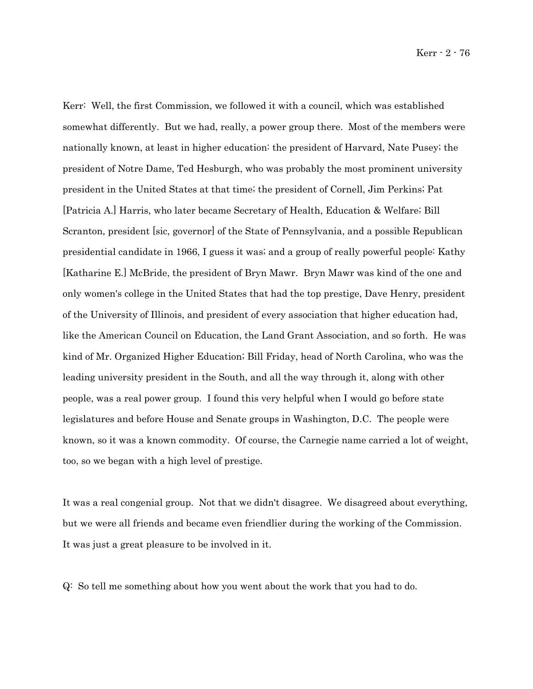Kerr - 2 - 76

Kerr: Well, the first Commission, we followed it with a council, which was established somewhat differently. But we had, really, a power group there. Most of the members were nationally known, at least in higher education: the president of Harvard, Nate Pusey; the president of Notre Dame, Ted Hesburgh, who was probably the most prominent university president in the United States at that time; the president of Cornell, Jim Perkins; Pat [Patricia A.] Harris, who later became Secretary of Health, Education & Welfare; Bill Scranton, president [sic, governor] of the State of Pennsylvania, and a possible Republican presidential candidate in 1966, I guess it was; and a group of really powerful people: Kathy [Katharine E.] McBride, the president of Bryn Mawr. Bryn Mawr was kind of the one and only women's college in the United States that had the top prestige, Dave Henry, president of the University of Illinois, and president of every association that higher education had, like the American Council on Education, the Land Grant Association, and so forth. He was kind of Mr. Organized Higher Education; Bill Friday, head of North Carolina, who was the leading university president in the South, and all the way through it, along with other people, was a real power group. I found this very helpful when I would go before state legislatures and before House and Senate groups in Washington, D.C. The people were known, so it was a known commodity. Of course, the Carnegie name carried a lot of weight, too, so we began with a high level of prestige.

It was a real congenial group. Not that we didn't disagree. We disagreed about everything, but we were all friends and became even friendlier during the working of the Commission. It was just a great pleasure to be involved in it.

Q: So tell me something about how you went about the work that you had to do.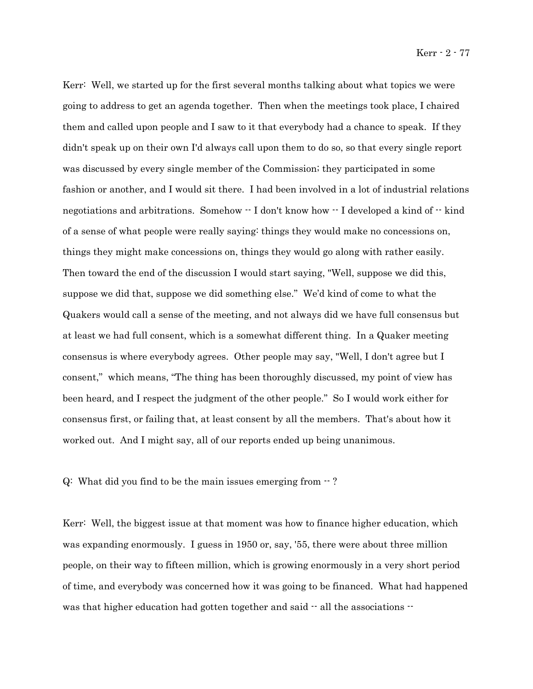Kerr: Well, we started up for the first several months talking about what topics we were going to address to get an agenda together. Then when the meetings took place, I chaired them and called upon people and I saw to it that everybody had a chance to speak. If they didn't speak up on their own I'd always call upon them to do so, so that every single report was discussed by every single member of the Commission; they participated in some fashion or another, and I would sit there. I had been involved in a lot of industrial relations negotiations and arbitrations. Somehow -- I don't know how -- I developed a kind of -- kind of a sense of what people were really saying: things they would make no concessions on, things they might make concessions on, things they would go along with rather easily. Then toward the end of the discussion I would start saying, "Well, suppose we did this, suppose we did that, suppose we did something else." We'd kind of come to what the Quakers would call a sense of the meeting, and not always did we have full consensus but at least we had full consent, which is a somewhat different thing. In a Quaker meeting consensus is where everybody agrees. Other people may say, "Well, I don't agree but I consent," which means, "The thing has been thoroughly discussed, my point of view has been heard, and I respect the judgment of the other people." So I would work either for consensus first, or failing that, at least consent by all the members. That's about how it worked out. And I might say, all of our reports ended up being unanimous.

Q: What did you find to be the main issues emerging from  $-$ ?

Kerr: Well, the biggest issue at that moment was how to finance higher education, which was expanding enormously. I guess in 1950 or, say, '55, there were about three million people, on their way to fifteen million, which is growing enormously in a very short period of time, and everybody was concerned how it was going to be financed. What had happened was that higher education had gotten together and said  $-$  all the associations  $-$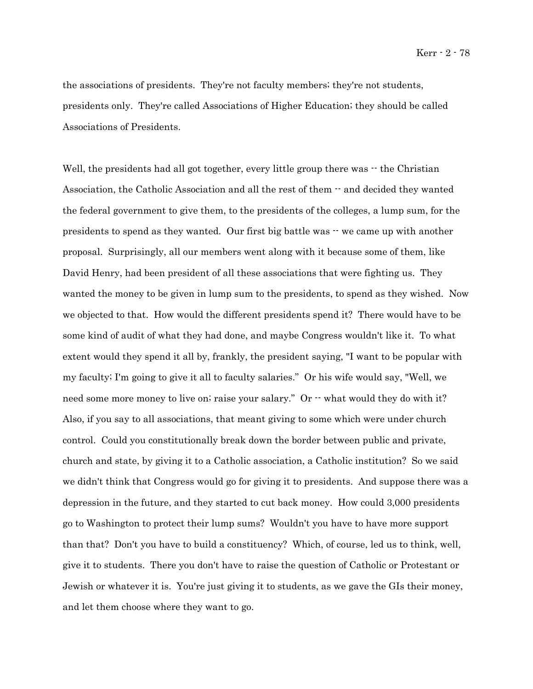Kerr - 2 - 78

the associations of presidents. They're not faculty members; they're not students, presidents only. They're called Associations of Higher Education; they should be called Associations of Presidents.

Well, the presidents had all got together, every little group there was  $\cdot$  the Christian Association, the Catholic Association and all the rest of them  $-$  and decided they wanted the federal government to give them, to the presidents of the colleges, a lump sum, for the presidents to spend as they wanted. Our first big battle was -- we came up with another proposal. Surprisingly, all our members went along with it because some of them, like David Henry, had been president of all these associations that were fighting us. They wanted the money to be given in lump sum to the presidents, to spend as they wished. Now we objected to that. How would the different presidents spend it? There would have to be some kind of audit of what they had done, and maybe Congress wouldn't like it. To what extent would they spend it all by, frankly, the president saying, "I want to be popular with my faculty; I'm going to give it all to faculty salaries." Or his wife would say, "Well, we need some more money to live on; raise your salary." Or -- what would they do with it? Also, if you say to all associations, that meant giving to some which were under church control. Could you constitutionally break down the border between public and private, church and state, by giving it to a Catholic association, a Catholic institution? So we said we didn't think that Congress would go for giving it to presidents. And suppose there was a depression in the future, and they started to cut back money. How could 3,000 presidents go to Washington to protect their lump sums? Wouldn't you have to have more support than that? Don't you have to build a constituency? Which, of course, led us to think, well, give it to students. There you don't have to raise the question of Catholic or Protestant or Jewish or whatever it is. You're just giving it to students, as we gave the GIs their money, and let them choose where they want to go.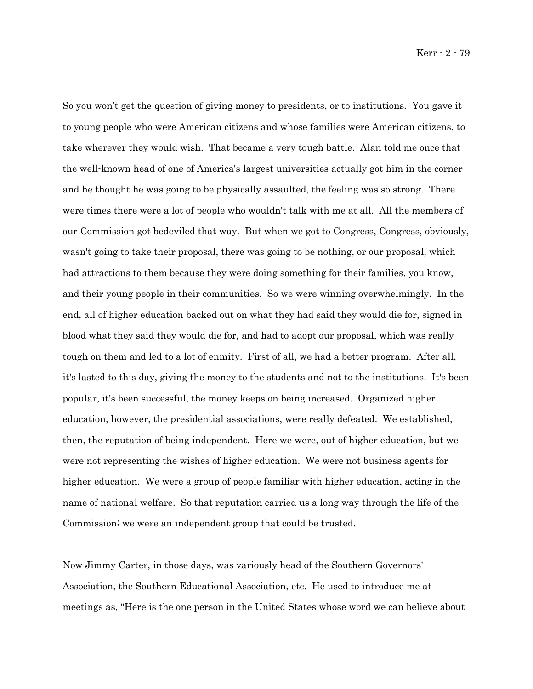So you won't get the question of giving money to presidents, or to institutions. You gave it to young people who were American citizens and whose families were American citizens, to take wherever they would wish. That became a very tough battle. Alan told me once that the well-known head of one of America's largest universities actually got him in the corner and he thought he was going to be physically assaulted, the feeling was so strong. There were times there were a lot of people who wouldn't talk with me at all. All the members of our Commission got bedeviled that way. But when we got to Congress, Congress, obviously, wasn't going to take their proposal, there was going to be nothing, or our proposal, which had attractions to them because they were doing something for their families, you know, and their young people in their communities. So we were winning overwhelmingly. In the end, all of higher education backed out on what they had said they would die for, signed in blood what they said they would die for, and had to adopt our proposal, which was really tough on them and led to a lot of enmity. First of all, we had a better program. After all, it's lasted to this day, giving the money to the students and not to the institutions. It's been popular, it's been successful, the money keeps on being increased. Organized higher education, however, the presidential associations, were really defeated. We established, then, the reputation of being independent. Here we were, out of higher education, but we were not representing the wishes of higher education. We were not business agents for higher education. We were a group of people familiar with higher education, acting in the name of national welfare. So that reputation carried us a long way through the life of the Commission; we were an independent group that could be trusted.

Now Jimmy Carter, in those days, was variously head of the Southern Governors' Association, the Southern Educational Association, etc. He used to introduce me at meetings as, "Here is the one person in the United States whose word we can believe about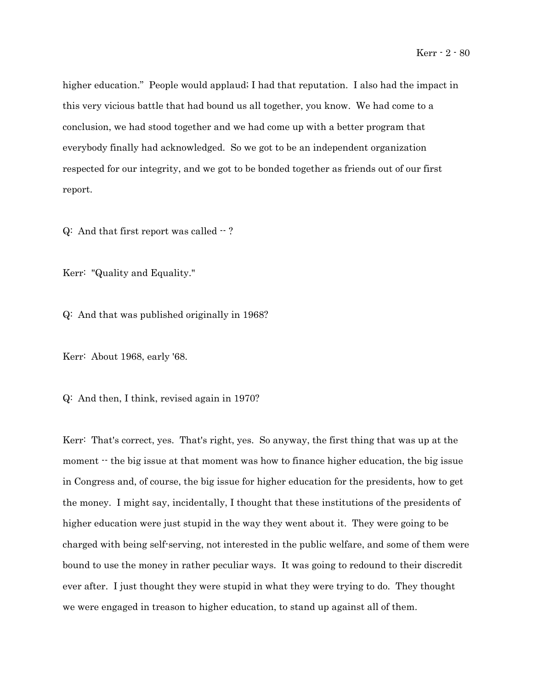higher education." People would applaud; I had that reputation. I also had the impact in this very vicious battle that had bound us all together, you know. We had come to a conclusion, we had stood together and we had come up with a better program that everybody finally had acknowledged. So we got to be an independent organization respected for our integrity, and we got to be bonded together as friends out of our first report.

 $Q:$  And that first report was called  $-$ ?

Kerr: "Quality and Equality."

Q: And that was published originally in 1968?

Kerr: About 1968, early '68.

Q: And then, I think, revised again in 1970?

Kerr: That's correct, yes. That's right, yes. So anyway, the first thing that was up at the moment  $\cdot$  the big issue at that moment was how to finance higher education, the big issue in Congress and, of course, the big issue for higher education for the presidents, how to get the money. I might say, incidentally, I thought that these institutions of the presidents of higher education were just stupid in the way they went about it. They were going to be charged with being self-serving, not interested in the public welfare, and some of them were bound to use the money in rather peculiar ways. It was going to redound to their discredit ever after. I just thought they were stupid in what they were trying to do. They thought we were engaged in treason to higher education, to stand up against all of them.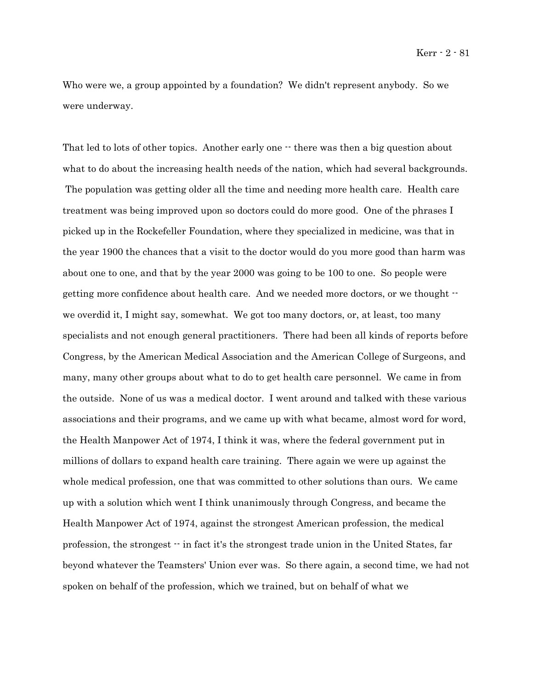Who were we, a group appointed by a foundation? We didn't represent anybody. So we were underway.

That led to lots of other topics. Another early one  $\cdot$  there was then a big question about what to do about the increasing health needs of the nation, which had several backgrounds. The population was getting older all the time and needing more health care. Health care treatment was being improved upon so doctors could do more good. One of the phrases I picked up in the Rockefeller Foundation, where they specialized in medicine, was that in the year 1900 the chances that a visit to the doctor would do you more good than harm was about one to one, and that by the year 2000 was going to be 100 to one. So people were getting more confidence about health care. And we needed more doctors, or we thought - we overdid it, I might say, somewhat. We got too many doctors, or, at least, too many specialists and not enough general practitioners. There had been all kinds of reports before Congress, by the American Medical Association and the American College of Surgeons, and many, many other groups about what to do to get health care personnel. We came in from the outside. None of us was a medical doctor. I went around and talked with these various associations and their programs, and we came up with what became, almost word for word, the Health Manpower Act of 1974, I think it was, where the federal government put in millions of dollars to expand health care training. There again we were up against the whole medical profession, one that was committed to other solutions than ours. We came up with a solution which went I think unanimously through Congress, and became the Health Manpower Act of 1974, against the strongest American profession, the medical profession, the strongest -- in fact it's the strongest trade union in the United States, far beyond whatever the Teamsters' Union ever was. So there again, a second time, we had not spoken on behalf of the profession, which we trained, but on behalf of what we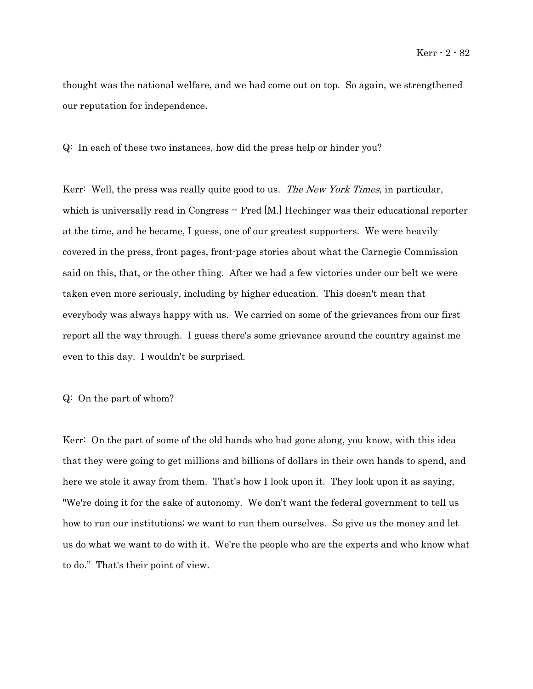thought was the national welfare, and we had come out on top. So again, we strengthened our reputation for independence.

Q: In each of these two instances, how did the press help or hinder you?

Kerr: Well, the press was really quite good to us. The New York Times, in particular, which is universally read in Congress  $-$  Fred [M.] Hechinger was their educational reporter at the time, and he became, I guess, one of our greatest supporters. We were heavily covered in the press, front pages, front-page stories about what the Carnegie Commission said on this, that, or the other thing. After we had a few victories under our belt we were taken even more seriously, including by higher education. This doesn't mean that everybody was always happy with us. We carried on some of the grievances from our first report all the way through. I guess there's some grievance around the country against me even to this day. I wouldn't be surprised.

## Q: On the part of whom?

Kerr: On the part of some of the old hands who had gone along, you know, with this idea that they were going to get millions and billions of dollars in their own hands to spend, and here we stole it away from them. That's how I look upon it. They look upon it as saying, "We're doing it for the sake of autonomy. We don't want the federal government to tell us how to run our institutions; we want to run them ourselves. So give us the money and let us do what we want to do with it. We're the people who are the experts and who know what to do." That's their point of view.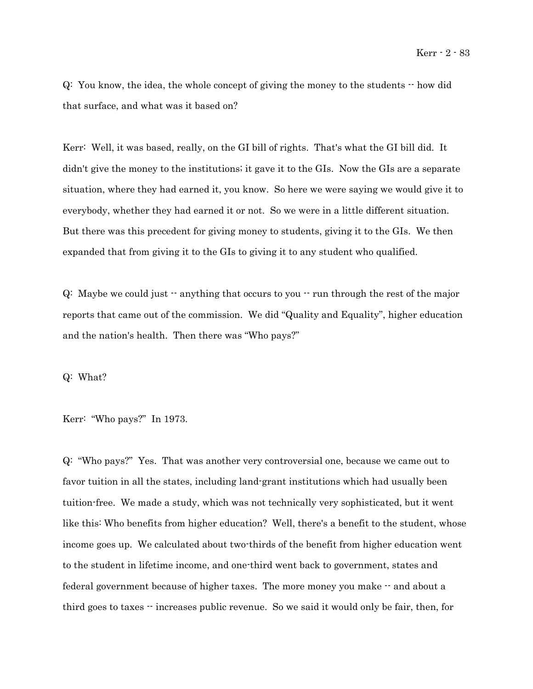Q: You know, the idea, the whole concept of giving the money to the students -- how did that surface, and what was it based on?

Kerr: Well, it was based, really, on the GI bill of rights. That's what the GI bill did. It didn't give the money to the institutions; it gave it to the GIs. Now the GIs are a separate situation, where they had earned it, you know. So here we were saying we would give it to everybody, whether they had earned it or not. So we were in a little different situation. But there was this precedent for giving money to students, giving it to the GIs. We then expanded that from giving it to the GIs to giving it to any student who qualified.

 $Q:$  Maybe we could just  $\cdot$  anything that occurs to you  $\cdot \cdot$  run through the rest of the major reports that came out of the commission. We did "Quality and Equality", higher education and the nation's health. Then there was "Who pays?"

Q: What?

Kerr: "Who pays?" In 1973.

Q: "Who pays?" Yes. That was another very controversial one, because we came out to favor tuition in all the states, including land-grant institutions which had usually been tuition-free. We made a study, which was not technically very sophisticated, but it went like this: Who benefits from higher education? Well, there's a benefit to the student, whose income goes up. We calculated about two-thirds of the benefit from higher education went to the student in lifetime income, and one-third went back to government, states and federal government because of higher taxes. The more money you make  $-$  and about a third goes to taxes  $\cdot$  increases public revenue. So we said it would only be fair, then, for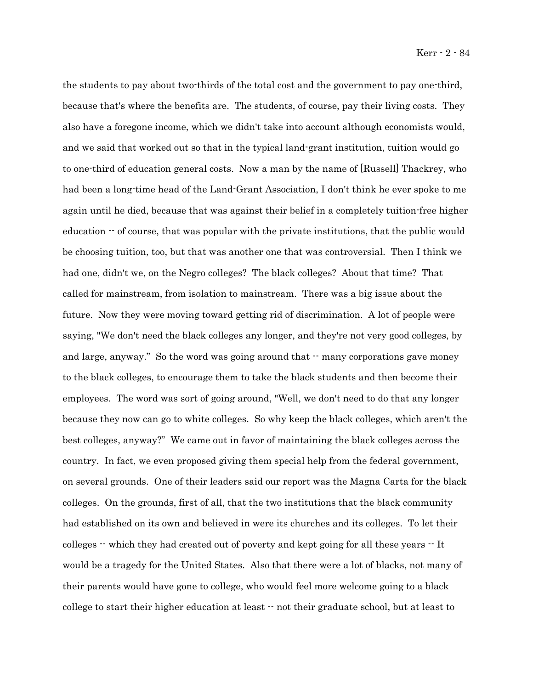the students to pay about two-thirds of the total cost and the government to pay one-third, because that's where the benefits are. The students, of course, pay their living costs. They also have a foregone income, which we didn't take into account although economists would, and we said that worked out so that in the typical land-grant institution, tuition would go to one-third of education general costs. Now a man by the name of [Russell] Thackrey, who had been a long-time head of the Land-Grant Association, I don't think he ever spoke to me again until he died, because that was against their belief in a completely tuition-free higher education  $\cdot$  of course, that was popular with the private institutions, that the public would be choosing tuition, too, but that was another one that was controversial. Then I think we had one, didn't we, on the Negro colleges? The black colleges? About that time? That called for mainstream, from isolation to mainstream. There was a big issue about the future. Now they were moving toward getting rid of discrimination. A lot of people were saying, "We don't need the black colleges any longer, and they're not very good colleges, by and large, anyway." So the word was going around that  $\cdot$  many corporations gave money to the black colleges, to encourage them to take the black students and then become their employees. The word was sort of going around, "Well, we don't need to do that any longer because they now can go to white colleges. So why keep the black colleges, which aren't the best colleges, anyway?" We came out in favor of maintaining the black colleges across the country. In fact, we even proposed giving them special help from the federal government, on several grounds. One of their leaders said our report was the Magna Carta for the black colleges. On the grounds, first of all, that the two institutions that the black community had established on its own and believed in were its churches and its colleges. To let their colleges -- which they had created out of poverty and kept going for all these years -- It would be a tragedy for the United States. Also that there were a lot of blacks, not many of their parents would have gone to college, who would feel more welcome going to a black college to start their higher education at least -- not their graduate school, but at least to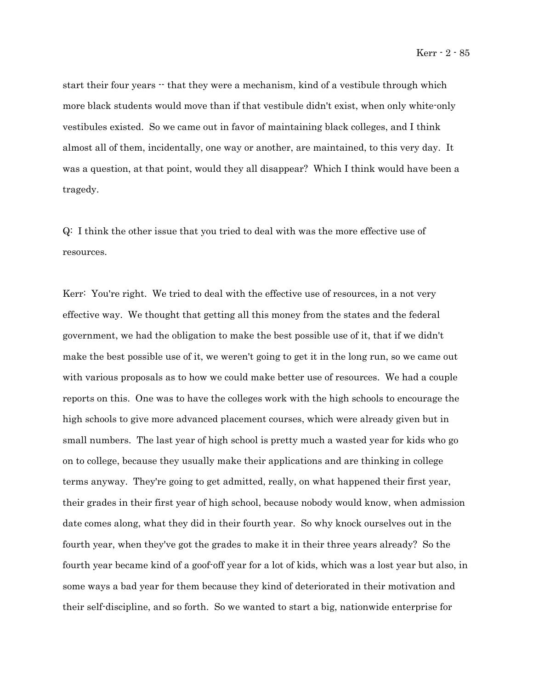start their four years  $\cdot$  that they were a mechanism, kind of a vestibule through which more black students would move than if that vestibule didn't exist, when only white-only vestibules existed. So we came out in favor of maintaining black colleges, and I think almost all of them, incidentally, one way or another, are maintained, to this very day. It was a question, at that point, would they all disappear? Which I think would have been a tragedy.

Q: I think the other issue that you tried to deal with was the more effective use of resources.

Kerr: You're right. We tried to deal with the effective use of resources, in a not very effective way. We thought that getting all this money from the states and the federal government, we had the obligation to make the best possible use of it, that if we didn't make the best possible use of it, we weren't going to get it in the long run, so we came out with various proposals as to how we could make better use of resources. We had a couple reports on this. One was to have the colleges work with the high schools to encourage the high schools to give more advanced placement courses, which were already given but in small numbers. The last year of high school is pretty much a wasted year for kids who go on to college, because they usually make their applications and are thinking in college terms anyway. They're going to get admitted, really, on what happened their first year, their grades in their first year of high school, because nobody would know, when admission date comes along, what they did in their fourth year. So why knock ourselves out in the fourth year, when they've got the grades to make it in their three years already? So the fourth year became kind of a goof-off year for a lot of kids, which was a lost year but also, in some ways a bad year for them because they kind of deteriorated in their motivation and their self-discipline, and so forth. So we wanted to start a big, nationwide enterprise for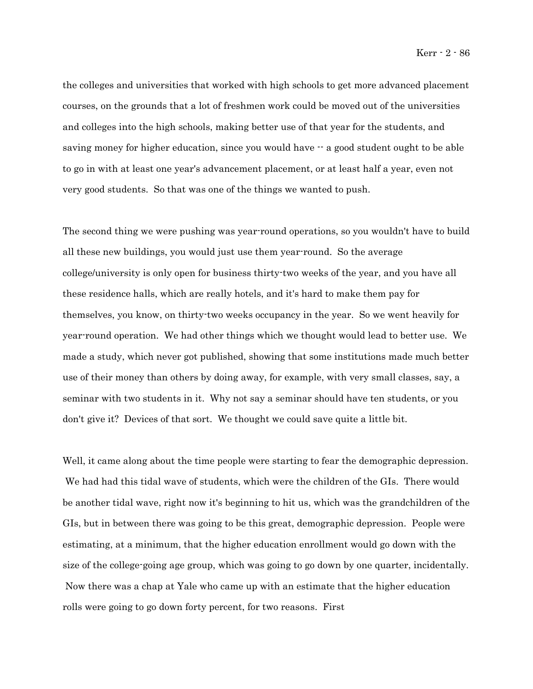the colleges and universities that worked with high schools to get more advanced placement courses, on the grounds that a lot of freshmen work could be moved out of the universities and colleges into the high schools, making better use of that year for the students, and saving money for higher education, since you would have  $-$  a good student ought to be able to go in with at least one year's advancement placement, or at least half a year, even not very good students. So that was one of the things we wanted to push.

The second thing we were pushing was year-round operations, so you wouldn't have to build all these new buildings, you would just use them year-round. So the average college/university is only open for business thirty-two weeks of the year, and you have all these residence halls, which are really hotels, and it's hard to make them pay for themselves, you know, on thirty-two weeks occupancy in the year. So we went heavily for year-round operation. We had other things which we thought would lead to better use. We made a study, which never got published, showing that some institutions made much better use of their money than others by doing away, for example, with very small classes, say, a seminar with two students in it. Why not say a seminar should have ten students, or you don't give it? Devices of that sort. We thought we could save quite a little bit.

Well, it came along about the time people were starting to fear the demographic depression. We had had this tidal wave of students, which were the children of the GIs. There would be another tidal wave, right now it's beginning to hit us, which was the grandchildren of the GIs, but in between there was going to be this great, demographic depression. People were estimating, at a minimum, that the higher education enrollment would go down with the size of the college-going age group, which was going to go down by one quarter, incidentally. Now there was a chap at Yale who came up with an estimate that the higher education rolls were going to go down forty percent, for two reasons. First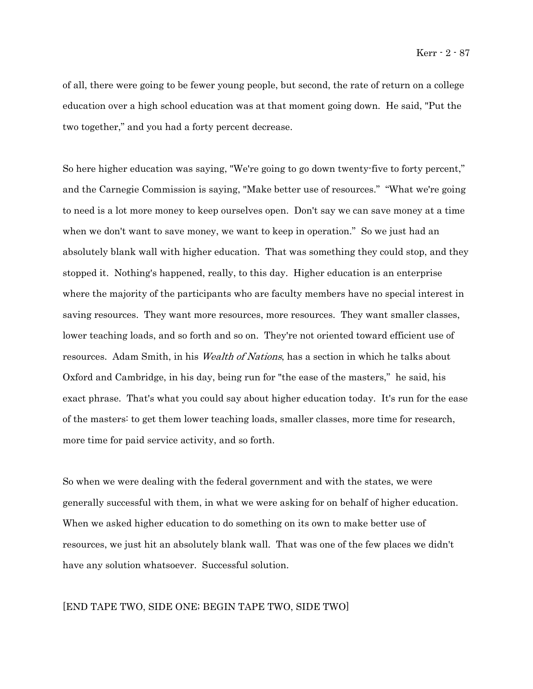of all, there were going to be fewer young people, but second, the rate of return on a college education over a high school education was at that moment going down. He said, "Put the two together," and you had a forty percent decrease.

So here higher education was saying, "We're going to go down twenty-five to forty percent," and the Carnegie Commission is saying, "Make better use of resources." "What we're going to need is a lot more money to keep ourselves open. Don't say we can save money at a time when we don't want to save money, we want to keep in operation." So we just had an absolutely blank wall with higher education. That was something they could stop, and they stopped it. Nothing's happened, really, to this day. Higher education is an enterprise where the majority of the participants who are faculty members have no special interest in saving resources. They want more resources, more resources. They want smaller classes, lower teaching loads, and so forth and so on. They're not oriented toward efficient use of resources. Adam Smith, in his *Wealth of Nations*, has a section in which he talks about Oxford and Cambridge, in his day, being run for "the ease of the masters," he said, his exact phrase. That's what you could say about higher education today. It's run for the ease of the masters: to get them lower teaching loads, smaller classes, more time for research, more time for paid service activity, and so forth.

So when we were dealing with the federal government and with the states, we were generally successful with them, in what we were asking for on behalf of higher education. When we asked higher education to do something on its own to make better use of resources, we just hit an absolutely blank wall. That was one of the few places we didn't have any solution whatsoever. Successful solution.

#### [END TAPE TWO, SIDE ONE; BEGIN TAPE TWO, SIDE TWO]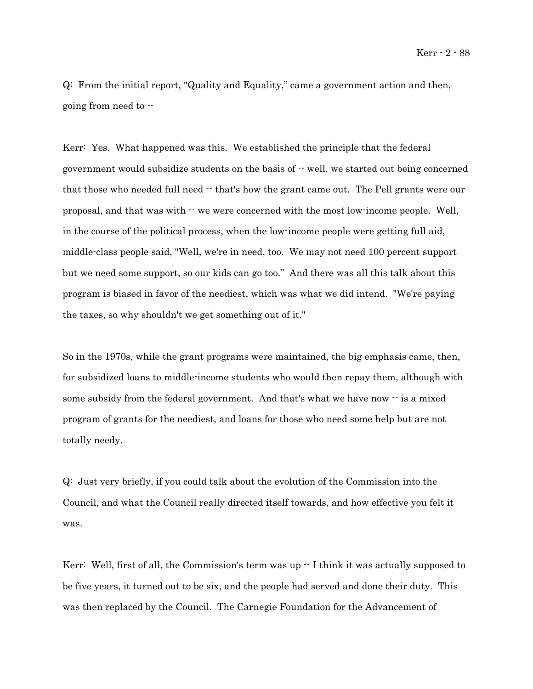Q: From the initial report, "Quality and Equality," came a government action and then, going from need to --

Kerr: Yes. What happened was this. We established the principle that the federal government would subsidize students on the basis of -- well, we started out being concerned that those who needed full need -- that's how the grant came out. The Pell grants were our proposal, and that was with -- we were concerned with the most low-income people. Well, in the course of the political process, when the low-income people were getting full aid, middle-class people said, "Well, we're in need, too. We may not need 100 percent support but we need some support, so our kids can go too." And there was all this talk about this program is biased in favor of the neediest, which was what we did intend. "We're paying the taxes, so why shouldn't we get something out of it."

So in the 1970s, while the grant programs were maintained, the big emphasis came, then, for subsidized loans to middle-income students who would then repay them, although with some subsidy from the federal government. And that's what we have now  $-$  is a mixed program of grants for the neediest, and loans for those who need some help but are not totally needy.

Q: Just very briefly, if you could talk about the evolution of the Commission into the Council, and what the Council really directed itself towards, and how effective you felt it was.

Kerr: Well, first of all, the Commission's term was up  $\cdot$  I think it was actually supposed to be five years, it turned out to be six, and the people had served and done their duty. This was then replaced by the Council. The Carnegie Foundation for the Advancement of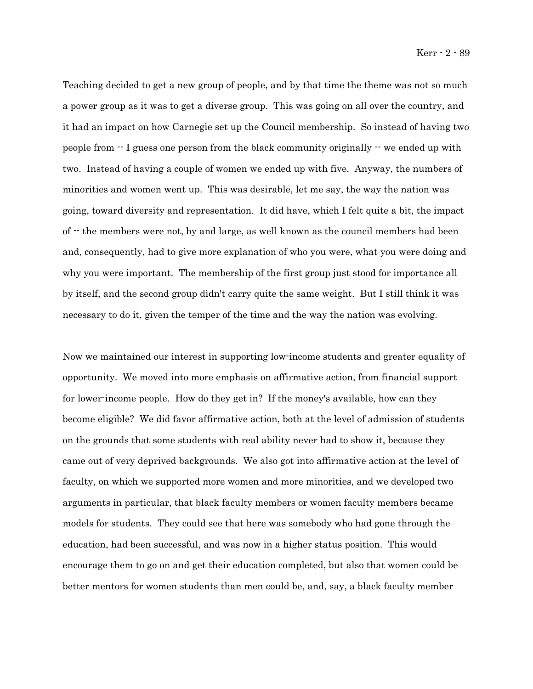Teaching decided to get a new group of people, and by that time the theme was not so much a power group as it was to get a diverse group. This was going on all over the country, and it had an impact on how Carnegie set up the Council membership. So instead of having two people from  $\cdot$  I guess one person from the black community originally  $\cdot$  we ended up with two. Instead of having a couple of women we ended up with five. Anyway, the numbers of minorities and women went up. This was desirable, let me say, the way the nation was going, toward diversity and representation. It did have, which I felt quite a bit, the impact of -- the members were not, by and large, as well known as the council members had been and, consequently, had to give more explanation of who you were, what you were doing and why you were important. The membership of the first group just stood for importance all by itself, and the second group didn't carry quite the same weight. But I still think it was necessary to do it, given the temper of the time and the way the nation was evolving.

Now we maintained our interest in supporting low-income students and greater equality of opportunity. We moved into more emphasis on affirmative action, from financial support for lower-income people. How do they get in? If the money's available, how can they become eligible? We did favor affirmative action, both at the level of admission of students on the grounds that some students with real ability never had to show it, because they came out of very deprived backgrounds. We also got into affirmative action at the level of faculty, on which we supported more women and more minorities, and we developed two arguments in particular, that black faculty members or women faculty members became models for students. They could see that here was somebody who had gone through the education, had been successful, and was now in a higher status position. This would encourage them to go on and get their education completed, but also that women could be better mentors for women students than men could be, and, say, a black faculty member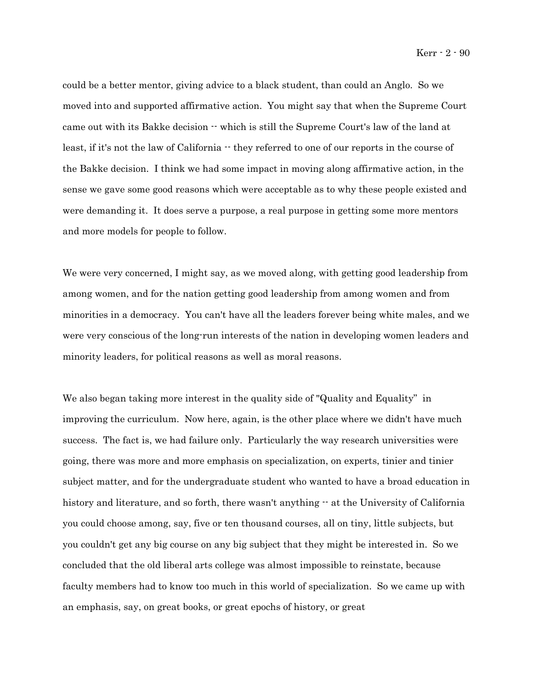could be a better mentor, giving advice to a black student, than could an Anglo. So we moved into and supported affirmative action. You might say that when the Supreme Court came out with its Bakke decision  $\cdot\cdot$  which is still the Supreme Court's law of the land at least, if it's not the law of California  $-$  they referred to one of our reports in the course of the Bakke decision. I think we had some impact in moving along affirmative action, in the sense we gave some good reasons which were acceptable as to why these people existed and were demanding it. It does serve a purpose, a real purpose in getting some more mentors and more models for people to follow.

We were very concerned, I might say, as we moved along, with getting good leadership from among women, and for the nation getting good leadership from among women and from minorities in a democracy. You can't have all the leaders forever being white males, and we were very conscious of the long-run interests of the nation in developing women leaders and minority leaders, for political reasons as well as moral reasons.

We also began taking more interest in the quality side of "Quality and Equality" in improving the curriculum. Now here, again, is the other place where we didn't have much success. The fact is, we had failure only. Particularly the way research universities were going, there was more and more emphasis on specialization, on experts, tinier and tinier subject matter, and for the undergraduate student who wanted to have a broad education in history and literature, and so forth, there wasn't anything  $-$  at the University of California you could choose among, say, five or ten thousand courses, all on tiny, little subjects, but you couldn't get any big course on any big subject that they might be interested in. So we concluded that the old liberal arts college was almost impossible to reinstate, because faculty members had to know too much in this world of specialization. So we came up with an emphasis, say, on great books, or great epochs of history, or great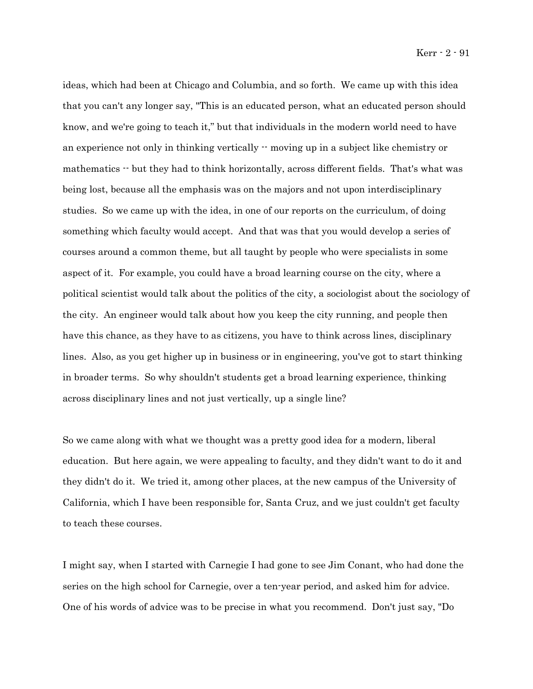Kerr - 2 - 91

ideas, which had been at Chicago and Columbia, and so forth. We came up with this idea that you can't any longer say, "This is an educated person, what an educated person should know, and we're going to teach it," but that individuals in the modern world need to have an experience not only in thinking vertically  $\cdot$  moving up in a subject like chemistry or mathematics  $\cdot$  but they had to think horizontally, across different fields. That's what was being lost, because all the emphasis was on the majors and not upon interdisciplinary studies. So we came up with the idea, in one of our reports on the curriculum, of doing something which faculty would accept. And that was that you would develop a series of courses around a common theme, but all taught by people who were specialists in some aspect of it. For example, you could have a broad learning course on the city, where a political scientist would talk about the politics of the city, a sociologist about the sociology of the city. An engineer would talk about how you keep the city running, and people then have this chance, as they have to as citizens, you have to think across lines, disciplinary lines. Also, as you get higher up in business or in engineering, you've got to start thinking in broader terms. So why shouldn't students get a broad learning experience, thinking across disciplinary lines and not just vertically, up a single line?

So we came along with what we thought was a pretty good idea for a modern, liberal education. But here again, we were appealing to faculty, and they didn't want to do it and they didn't do it. We tried it, among other places, at the new campus of the University of California, which I have been responsible for, Santa Cruz, and we just couldn't get faculty to teach these courses.

I might say, when I started with Carnegie I had gone to see Jim Conant, who had done the series on the high school for Carnegie, over a ten-year period, and asked him for advice. One of his words of advice was to be precise in what you recommend. Don't just say, "Do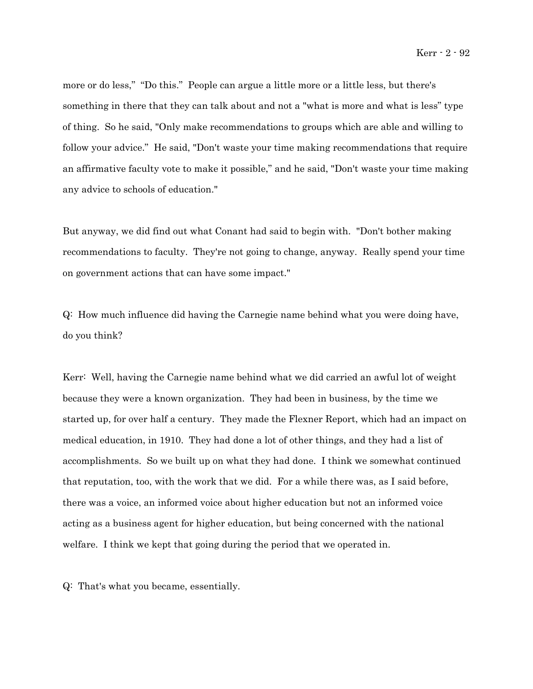more or do less," "Do this." People can argue a little more or a little less, but there's something in there that they can talk about and not a "what is more and what is less" type of thing. So he said, "Only make recommendations to groups which are able and willing to follow your advice." He said, "Don't waste your time making recommendations that require an affirmative faculty vote to make it possible," and he said, "Don't waste your time making any advice to schools of education."

But anyway, we did find out what Conant had said to begin with. "Don't bother making recommendations to faculty. They're not going to change, anyway. Really spend your time on government actions that can have some impact."

Q: How much influence did having the Carnegie name behind what you were doing have, do you think?

Kerr: Well, having the Carnegie name behind what we did carried an awful lot of weight because they were a known organization. They had been in business, by the time we started up, for over half a century. They made the Flexner Report, which had an impact on medical education, in 1910. They had done a lot of other things, and they had a list of accomplishments. So we built up on what they had done. I think we somewhat continued that reputation, too, with the work that we did. For a while there was, as I said before, there was a voice, an informed voice about higher education but not an informed voice acting as a business agent for higher education, but being concerned with the national welfare. I think we kept that going during the period that we operated in.

Q: That's what you became, essentially.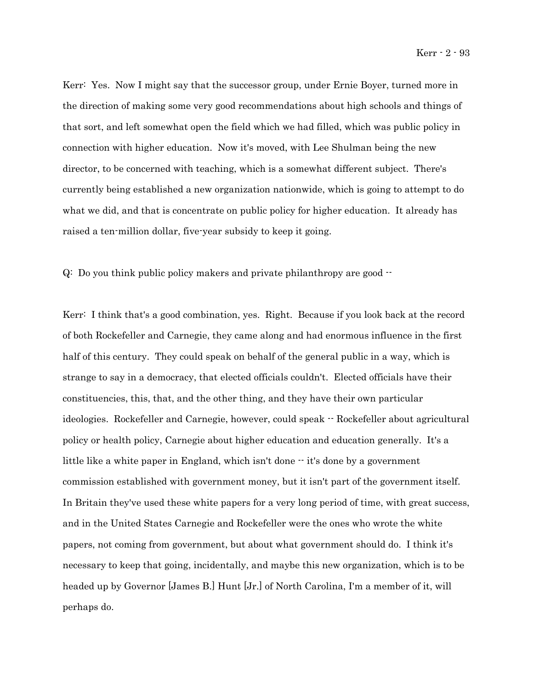Kerr: Yes. Now I might say that the successor group, under Ernie Boyer, turned more in the direction of making some very good recommendations about high schools and things of that sort, and left somewhat open the field which we had filled, which was public policy in connection with higher education. Now it's moved, with Lee Shulman being the new director, to be concerned with teaching, which is a somewhat different subject. There's currently being established a new organization nationwide, which is going to attempt to do what we did, and that is concentrate on public policy for higher education. It already has raised a ten-million dollar, five-year subsidy to keep it going.

Q: Do you think public policy makers and private philanthropy are good --

Kerr: I think that's a good combination, yes. Right. Because if you look back at the record of both Rockefeller and Carnegie, they came along and had enormous influence in the first half of this century. They could speak on behalf of the general public in a way, which is strange to say in a democracy, that elected officials couldn't. Elected officials have their constituencies, this, that, and the other thing, and they have their own particular ideologies. Rockefeller and Carnegie, however, could speak -- Rockefeller about agricultural policy or health policy, Carnegie about higher education and education generally. It's a little like a white paper in England, which isn't done  $\cdot$  it's done by a government commission established with government money, but it isn't part of the government itself. In Britain they've used these white papers for a very long period of time, with great success, and in the United States Carnegie and Rockefeller were the ones who wrote the white papers, not coming from government, but about what government should do. I think it's necessary to keep that going, incidentally, and maybe this new organization, which is to be headed up by Governor [James B.] Hunt [Jr.] of North Carolina, I'm a member of it, will perhaps do.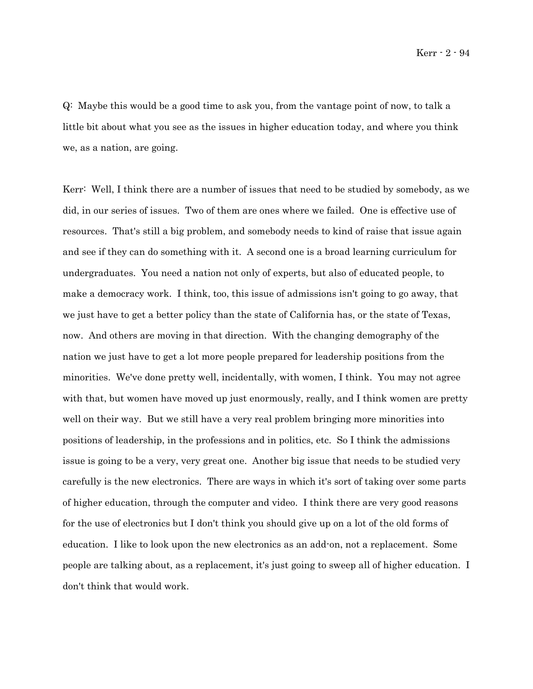Q: Maybe this would be a good time to ask you, from the vantage point of now, to talk a little bit about what you see as the issues in higher education today, and where you think we, as a nation, are going.

Kerr: Well, I think there are a number of issues that need to be studied by somebody, as we did, in our series of issues. Two of them are ones where we failed. One is effective use of resources. That's still a big problem, and somebody needs to kind of raise that issue again and see if they can do something with it. A second one is a broad learning curriculum for undergraduates. You need a nation not only of experts, but also of educated people, to make a democracy work. I think, too, this issue of admissions isn't going to go away, that we just have to get a better policy than the state of California has, or the state of Texas, now. And others are moving in that direction. With the changing demography of the nation we just have to get a lot more people prepared for leadership positions from the minorities. We've done pretty well, incidentally, with women, I think. You may not agree with that, but women have moved up just enormously, really, and I think women are pretty well on their way. But we still have a very real problem bringing more minorities into positions of leadership, in the professions and in politics, etc. So I think the admissions issue is going to be a very, very great one. Another big issue that needs to be studied very carefully is the new electronics. There are ways in which it's sort of taking over some parts of higher education, through the computer and video. I think there are very good reasons for the use of electronics but I don't think you should give up on a lot of the old forms of education. I like to look upon the new electronics as an add-on, not a replacement. Some people are talking about, as a replacement, it's just going to sweep all of higher education. I don't think that would work.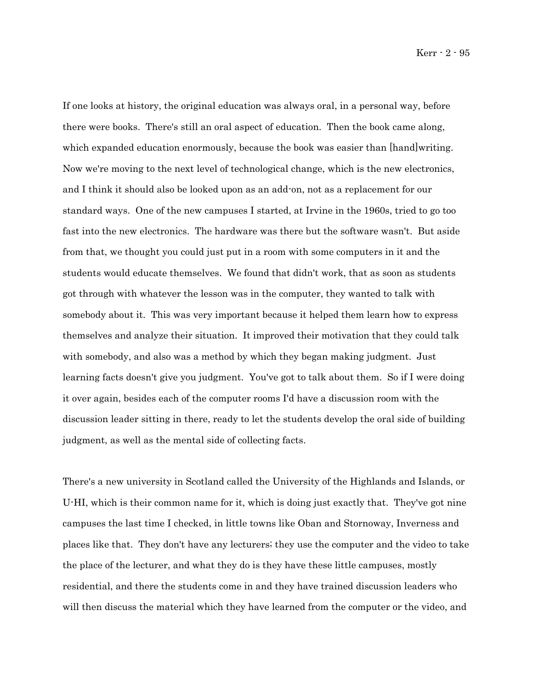Kerr - 2 - 95

If one looks at history, the original education was always oral, in a personal way, before there were books. There's still an oral aspect of education. Then the book came along, which expanded education enormously, because the book was easier than [hand]writing. Now we're moving to the next level of technological change, which is the new electronics, and I think it should also be looked upon as an add-on, not as a replacement for our standard ways. One of the new campuses I started, at Irvine in the 1960s, tried to go too fast into the new electronics. The hardware was there but the software wasn't. But aside from that, we thought you could just put in a room with some computers in it and the students would educate themselves. We found that didn't work, that as soon as students got through with whatever the lesson was in the computer, they wanted to talk with somebody about it. This was very important because it helped them learn how to express themselves and analyze their situation. It improved their motivation that they could talk with somebody, and also was a method by which they began making judgment. Just learning facts doesn't give you judgment. You've got to talk about them. So if I were doing it over again, besides each of the computer rooms I'd have a discussion room with the discussion leader sitting in there, ready to let the students develop the oral side of building judgment, as well as the mental side of collecting facts.

There's a new university in Scotland called the University of the Highlands and Islands, or U-HI, which is their common name for it, which is doing just exactly that. They've got nine campuses the last time I checked, in little towns like Oban and Stornoway, Inverness and places like that. They don't have any lecturers; they use the computer and the video to take the place of the lecturer, and what they do is they have these little campuses, mostly residential, and there the students come in and they have trained discussion leaders who will then discuss the material which they have learned from the computer or the video, and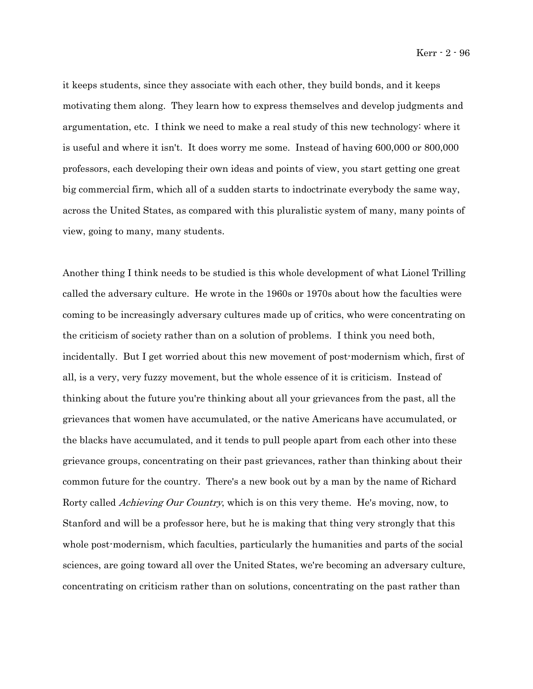it keeps students, since they associate with each other, they build bonds, and it keeps motivating them along. They learn how to express themselves and develop judgments and argumentation, etc. I think we need to make a real study of this new technology: where it is useful and where it isn't. It does worry me some. Instead of having 600,000 or 800,000 professors, each developing their own ideas and points of view, you start getting one great big commercial firm, which all of a sudden starts to indoctrinate everybody the same way, across the United States, as compared with this pluralistic system of many, many points of view, going to many, many students.

Another thing I think needs to be studied is this whole development of what Lionel Trilling called the adversary culture. He wrote in the 1960s or 1970s about how the faculties were coming to be increasingly adversary cultures made up of critics, who were concentrating on the criticism of society rather than on a solution of problems. I think you need both, incidentally. But I get worried about this new movement of post-modernism which, first of all, is a very, very fuzzy movement, but the whole essence of it is criticism. Instead of thinking about the future you're thinking about all your grievances from the past, all the grievances that women have accumulated, or the native Americans have accumulated, or the blacks have accumulated, and it tends to pull people apart from each other into these grievance groups, concentrating on their past grievances, rather than thinking about their common future for the country. There's a new book out by a man by the name of Richard Rorty called *Achieving Our Country*, which is on this very theme. He's moving, now, to Stanford and will be a professor here, but he is making that thing very strongly that this whole post-modernism, which faculties, particularly the humanities and parts of the social sciences, are going toward all over the United States, we're becoming an adversary culture, concentrating on criticism rather than on solutions, concentrating on the past rather than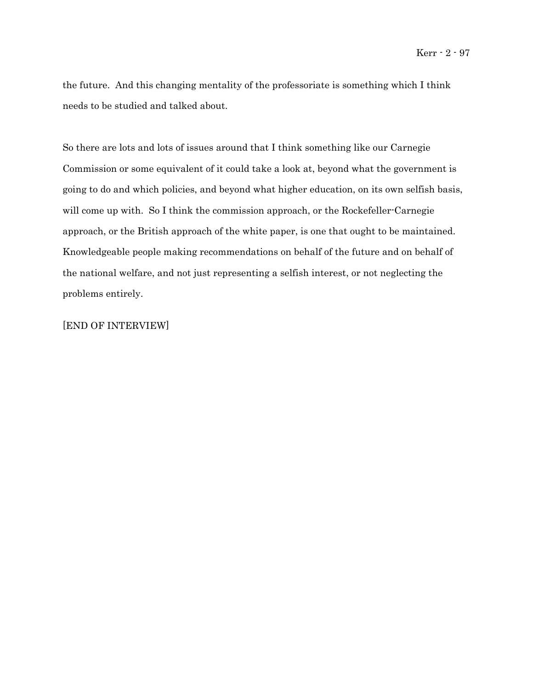the future. And this changing mentality of the professoriate is something which I think needs to be studied and talked about.

So there are lots and lots of issues around that I think something like our Carnegie Commission or some equivalent of it could take a look at, beyond what the government is going to do and which policies, and beyond what higher education, on its own selfish basis, will come up with. So I think the commission approach, or the Rockefeller-Carnegie approach, or the British approach of the white paper, is one that ought to be maintained. Knowledgeable people making recommendations on behalf of the future and on behalf of the national welfare, and not just representing a selfish interest, or not neglecting the problems entirely.

[END OF INTERVIEW]